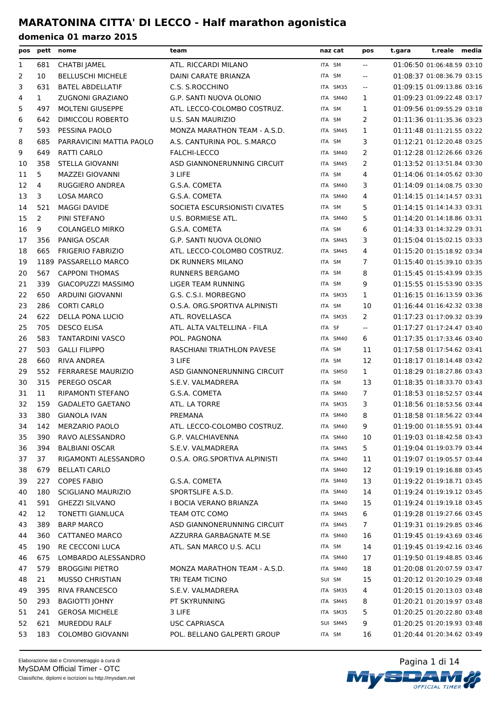| pos |              | pett nome                 | team                          | naz cat  | pos                      | t.gara | t.reale media              |  |
|-----|--------------|---------------------------|-------------------------------|----------|--------------------------|--------|----------------------------|--|
| 1   | 681          | CHATBI JAMEL              | ATL. RICCARDI MILANO          | ITA SM   | $\overline{a}$           |        | 01:06:50 01:06:48.59 03:10 |  |
| 2   | 10           | <b>BELLUSCHI MICHELE</b>  | DAINI CARATE BRIANZA          | ITA SM   | $-$                      |        | 01:08:37 01:08:36.79 03:15 |  |
| 3   | 631          | <b>BATEL ABDELLATIF</b>   | C.S. S.ROCCHINO               | ITA SM35 | $\overline{a}$           |        | 01:09:15 01:09:13.86 03:16 |  |
| 4   | $\mathbf{1}$ | ZUGNONI GRAZIANO          | G.P. SANTI NUOVA OLONIO       | ITA SM40 | 1                        |        | 01:09:23 01:09:22.48 03:17 |  |
| 5   | 497          | <b>MOLTENI GIUSEPPE</b>   | ATL. LECCO-COLOMBO COSTRUZ.   | ITA SM   | 1                        |        | 01:09:56 01:09:55.29 03:18 |  |
| 6   | 642          | <b>DIMICCOLI ROBERTO</b>  | U.S. SAN MAURIZIO             | ITA SM   | 2                        |        | 01:11:36 01:11:35.36 03:23 |  |
| 7   | 593          | PESSINA PAOLO             | MONZA MARATHON TEAM - A.S.D.  | ITA SM45 | $\mathbf{1}$             |        | 01:11:48 01:11:21.55 03:22 |  |
| 8   | 685          | PARRAVICINI MATTIA PAOLO  | A.S. CANTURINA POL. S.MARCO   | ITA SM   | 3                        |        | 01:12:21 01:12:20.48 03:25 |  |
| 9   | 649          | RATTI CARLO               | FALCHI-LECCO                  | ITA SM40 | 2                        |        | 01:12:28 01:12:26.66 03:26 |  |
| 10  | 358          | STELLA GIOVANNI           | ASD GIANNONERUNNING CIRCUIT   | ITA SM45 | $\overline{2}$           |        | 01:13:52 01:13:51.84 03:30 |  |
| 11  | 5            | MAZZEI GIOVANNI           | 3 LIFE                        | ITA SM   | 4                        |        | 01:14:06 01:14:05.62 03:30 |  |
| 12  | 4            | RUGGIERO ANDREA           | G.S.A. COMETA                 | ITA SM40 | 3                        |        | 01:14:09 01:14:08.75 03:30 |  |
| 13  | 3            | LOSA MARCO                | G.S.A. COMETA                 | ITA SM40 | 4                        |        | 01:14:15 01:14:14.57 03:31 |  |
| 14  | 521          | <b>MAGGI DAVIDE</b>       | SOCIETA ESCURSIONISTI CIVATES | ITA SM   | 5                        |        | 01:14:15 01:14:14.33 03:31 |  |
| 15  | 2            | PINI STEFANO              | U.S. BORMIESE ATL.            | ITA SM40 | 5                        |        | 01:14:20 01:14:18.86 03:31 |  |
| 16  | 9            | <b>COLANGELO MIRKO</b>    | G.S.A. COMETA                 | ITA SM   | 6                        |        | 01:14:33 01:14:32.29 03:31 |  |
| 17  | 356          | PANIGA OSCAR              | G.P. SANTI NUOVA OLONIO       | ITA SM45 | 3                        |        | 01:15:04 01:15:02.15 03:33 |  |
| 18  | 665          | <b>FRIGERIO FABRIZIO</b>  | ATL. LECCO-COLOMBO COSTRUZ.   | ITA SM45 | 4                        |        | 01:15:20 01:15:18.92 03:34 |  |
| 19  |              | 1189 PASSARELLO MARCO     | DK RUNNERS MILANO             | ITA SM   | 7                        |        | 01:15:40 01:15:39.10 03:35 |  |
| 20  | 567          | <b>CAPPONI THOMAS</b>     | <b>RUNNERS BERGAMO</b>        | ITA SM   | 8                        |        | 01:15:45 01:15:43.99 03:35 |  |
| 21  | 339          | <b>GIACOPUZZI MASSIMO</b> | <b>LIGER TEAM RUNNING</b>     | ITA SM   | 9                        |        | 01:15:55 01:15:53.90 03:35 |  |
| 22  | 650          | ARDUINI GIOVANNI          | G.S. C.S.I. MORBEGNO          | ITA SM35 | $\mathbf{1}$             |        | 01:16:15 01:16:13.59 03:36 |  |
| 23  | 286          | <b>CORTI CARLO</b>        | O.S.A. ORG.SPORTIVA ALPINISTI | ITA SM   | 10                       |        | 01:16:44 01:16:42.32 03:38 |  |
| 24  | 622          | <b>DELLA PONA LUCIO</b>   | ATL. ROVELLASCA               | ITA SM35 | 2                        |        | 01:17:23 01:17:09.32 03:39 |  |
| 25  | 705          | <b>DESCO ELISA</b>        | ATL. ALTA VALTELLINA - FILA   | ITA SF   | $\overline{\phantom{a}}$ |        | 01:17:27 01:17:24.47 03:40 |  |
| 26  | 583          | <b>TANTARDINI VASCO</b>   | POL. PAGNONA                  | ITA SM40 | 6                        |        | 01:17:35 01:17:33.46 03:40 |  |
| 27  | 503          | <b>GALLI FILIPPO</b>      | RASCHIANI TRIATHLON PAVESE    | ITA SM   | 11                       |        | 01:17:58 01:17:54.62 03:41 |  |
| 28  | 660          | <b>RIVA ANDREA</b>        | 3 LIFE                        | ITA SM   | 12                       |        | 01:18:17 01:18:14.48 03:42 |  |
| 29  | 552          | <b>FERRARESE MAURIZIO</b> | ASD GIANNONERUNNING CIRCUIT   | ITA SM50 | $\mathbf{1}$             |        | 01:18:29 01:18:27.86 03:43 |  |
| 30  | 315          | PEREGO OSCAR              | S.E.V. VALMADRERA             | ITA SM   | 13                       |        | 01:18:35 01:18:33.70 03:43 |  |
| 31  | 11           | RIPAMONTI STEFANO         | G.S.A. COMETA                 | ITA SM40 | $\overline{7}$           |        | 01:18:53 01:18:52.57 03:44 |  |
| 32  | 159          | <b>GADALETO GAETANO</b>   | ATL. LA TORRE                 | ITA SM35 | 3                        |        | 01:18:56 01:18:53.56 03:44 |  |
| 33  | 380          | <b>GIANOLA IVAN</b>       | PREMANA                       | ITA SM40 | 8                        |        | 01:18:58 01:18:56.22 03:44 |  |
| 34  | 142          | <b>MERZARIO PAOLO</b>     | ATL. LECCO-COLOMBO COSTRUZ.   | ITA SM40 | 9                        |        | 01:19:00 01:18:55.91 03:44 |  |
| 35  | 390          | RAVO ALESSANDRO           | G.P. VALCHIAVENNA             | ITA SM40 | 10                       |        | 01:19:03 01:18:42.58 03:43 |  |
| 36  | 394          | <b>BALBIANI OSCAR</b>     | S.E.V. VALMADRERA             | ITA SM45 | 5                        |        | 01:19:04 01:19:03.79 03:44 |  |
| 37  | 37           | RIGAMONTI ALESSANDRO      | O.S.A. ORG.SPORTIVA ALPINISTI | ITA SM40 | 11                       |        | 01:19:07 01:19:05.57 03:44 |  |
| 38  | 679          | <b>BELLATI CARLO</b>      |                               | ITA SM40 | 12                       |        | 01:19:19 01:19:16.88 03:45 |  |
| 39  | 227          | <b>COPES FABIO</b>        | G.S.A. COMETA                 | ITA SM40 | 13                       |        | 01:19:22 01:19:18.71 03:45 |  |
| 40  | 180          | SCIGLIANO MAURIZIO        | SPORTSLIFE A.S.D.             | ITA SM40 | 14                       |        | 01:19:24 01:19:19.12 03:45 |  |
| 41  | 591          | <b>GHEZZI SILVANO</b>     | I BOCIA VERANO BRIANZA        | ITA SM40 | 15                       |        | 01:19:24 01:19:19.18 03:45 |  |
| 42  | 12           | TONETTI GIANLUCA          | TEAM OTC COMO                 | ITA SM45 | 6                        |        | 01:19:28 01:19:27.66 03:45 |  |
| 43  | 389          | <b>BARP MARCO</b>         | ASD GIANNONERUNNING CIRCUIT   | ITA SM45 | $\overline{7}$           |        | 01:19:31 01:19:29.85 03:46 |  |
| 44  | 360          | CATTANEO MARCO            | AZZURRA GARBAGNATE M.SE       | ITA SM40 | 16                       |        | 01:19:45 01:19:43.69 03:46 |  |
| 45  | 190          | RE CECCONI LUCA           | ATL. SAN MARCO U.S. ACLI      | ITA SM   | 14                       |        | 01:19:45 01:19:42.16 03:46 |  |
| 46  | 675          | LOMBARDO ALESSANDRO       |                               | ITA SM40 | 17                       |        | 01:19:50 01:19:48.85 03:46 |  |
| 47  | 579          | <b>BROGGINI PIETRO</b>    | MONZA MARATHON TEAM - A.S.D.  | ITA SM40 | 18                       |        | 01:20:08 01:20:07.59 03:47 |  |
| 48  | 21           | <b>MUSSO CHRISTIAN</b>    | TRI TEAM TICINO               | SUI SM   | 15                       |        | 01:20:12 01:20:10.29 03:48 |  |
| 49  | 395          | <b>RIVA FRANCESCO</b>     | S.E.V. VALMADRERA             | ITA SM35 | 4                        |        | 01:20:15 01:20:13.03 03:48 |  |
| 50  | 293          | <b>BAGIOTTI JOHNY</b>     | PT SKYRUNNING                 | ITA SM45 | 8                        |        | 01:20:21 01:20:19.97 03:48 |  |
| 51  | 241          | <b>GEROSA MICHELE</b>     | 3 LIFE                        | ITA SM35 | 5                        |        | 01:20:25 01:20:22.80 03:48 |  |
| 52  | 621          | <b>MUREDDU RALF</b>       | <b>USC CAPRIASCA</b>          | SUI SM45 | 9                        |        | 01:20:25 01:20:19.93 03:48 |  |
| 53  | 183          | <b>COLOMBO GIOVANNI</b>   | POL. BELLANO GALPERTI GROUP   | ITA SM   | 16                       |        | 01:20:44 01:20:34.62 03:49 |  |

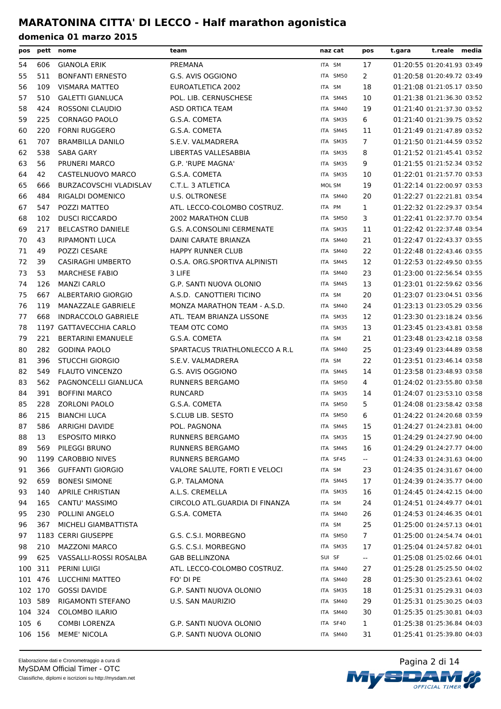| pos     |         | pett nome                  | team                            | naz cat  | pos            | t.gara | t.reale media              |  |
|---------|---------|----------------------------|---------------------------------|----------|----------------|--------|----------------------------|--|
| 54      | 606     | <b>GIANOLA ERIK</b>        | PREMANA                         | ITA SM   | 17             |        | 01:20:55 01:20:41.93 03:49 |  |
| 55      | 511     | <b>BONFANTI ERNESTO</b>    | G.S. AVIS OGGIONO               | ITA SM50 | 2              |        | 01:20:58 01:20:49.72 03:49 |  |
| 56      | 109     | <b>VISMARA MATTEO</b>      | EUROATLETICA 2002               | ITA SM   | 18             |        | 01:21:08 01:21:05.17 03:50 |  |
| 57      | 510     | <b>GALETTI GIANLUCA</b>    | POL. LIB. CERNUSCHESE           | ITA SM45 | 10             |        | 01:21:38 01:21:36.30 03:52 |  |
| 58      | 424     | ROSSONI CLAUDIO            | <b>ASD ORTICA TEAM</b>          | ITA SM40 | 19             |        | 01:21:40 01:21:37.30 03:52 |  |
| 59      | 225     | <b>CORNAGO PAOLO</b>       | G.S.A. COMETA                   | ITA SM35 | 6              |        | 01:21:40 01:21:39.75 03:52 |  |
| 60      | 220     | <b>FORNI RUGGERO</b>       | G.S.A. COMETA                   | ITA SM45 | 11             |        | 01:21:49 01:21:47.89 03:52 |  |
| 61      | 707     | <b>BRAMBILLA DANILO</b>    | S.E.V. VALMADRERA               | ITA SM35 | $\overline{7}$ |        | 01:21:50 01:21:44.59 03:52 |  |
| 62      | 538     | <b>SABA GARY</b>           | LIBERTAS VALLESABBIA            | ITA SM35 | 8              |        | 01:21:52 01:21:45.41 03:52 |  |
| 63      | 56      | PRUNERI MARCO              | G.P. 'RUPE MAGNA'               | ITA SM35 | 9              |        | 01:21:55 01:21:52.34 03:52 |  |
| 64      | 42      | CASTELNUOVO MARCO          | G.S.A. COMETA                   | ITA SM35 | 10             |        | 01:22:01 01:21:57.70 03:53 |  |
| 65      | 666     | BURZACOVSCHI VLADISLAV     | C.T.L. 3 ATLETICA               | MOL SM   | 19             |        | 01:22:14 01:22:00.97 03:53 |  |
| 66      | 484     | RIGALDI DOMENICO           | <b>U.S. OLTRONESE</b>           | ITA SM40 | 20             |        | 01:22:27 01:22:21.81 03:54 |  |
| 67      | 547     | POZZI MATTEO               | ATL. LECCO-COLOMBO COSTRUZ.     | ITA PM   | 1              |        | 01:22:32 01:22:29.37 03:54 |  |
| 68      | 102     | <b>DUSCI RICCARDO</b>      | 2002 MARATHON CLUB              | ITA SM50 | 3              |        | 01:22:41 01:22:37.70 03:54 |  |
| 69      | 217     | <b>BELCASTRO DANIELE</b>   | G.S. A.CONSOLINI CERMENATE      | ITA SM35 | 11             |        | 01:22:42 01:22:37.48 03:54 |  |
| 70      | 43      | <b>RIPAMONTI LUCA</b>      | DAINI CARATE BRIANZA            | ITA SM40 | 21             |        | 01:22:47 01:22:43.37 03:55 |  |
| 71      | 49      | POZZI CESARE               | <b>HAPPY RUNNER CLUB</b>        | ITA SM40 | 22             |        | 01:22:48 01:22:43.46 03:55 |  |
| 72      | 39      | <b>CASIRAGHI UMBERTO</b>   | O.S.A. ORG.SPORTIVA ALPINISTI   | ITA SM45 | 12             |        | 01:22:53 01:22:49.50 03:55 |  |
| 73      | 53      | <b>MARCHESE FABIO</b>      | 3 LIFE                          | ITA SM40 | 23             |        | 01:23:00 01:22:56.54 03:55 |  |
| 74      | 126     | <b>MANZI CARLO</b>         | G.P. SANTI NUOVA OLONIO         | ITA SM45 | 13             |        | 01:23:01 01:22:59.62 03:56 |  |
| 75      | 667     | ALBERTARIO GIORGIO         | A.S.D. CANOTTIERI TICINO        | ITA SM   | 20             |        | 01:23:07 01:23:04.51 03:56 |  |
| 76      | 119     | MANAZZALE GABRIELE         | MONZA MARATHON TEAM - A.S.D.    | ITA SM40 | 24             |        | 01:23:13 01:23:05.29 03:56 |  |
| 77      | 668     | <b>INDRACCOLO GABRIELE</b> | ATL. TEAM BRIANZA LISSONE       | ITA SM35 | 12             |        | 01:23:30 01:23:18.24 03:56 |  |
| 78      |         | 1197 GATTAVECCHIA CARLO    | TEAM OTC COMO                   | ITA SM35 | 13             |        | 01:23:45 01:23:43.81 03:58 |  |
| 79      | 221     | <b>BERTARINI EMANUELE</b>  | G.S.A. COMETA                   | ITA SM   | 21             |        | 01:23:48 01:23:42.18 03:58 |  |
| 80      | 282     | <b>GODINA PAOLO</b>        | SPARTACUS TRIATHLONLECCO A R.L. | ITA SM40 | 25             |        | 01:23:49 01:23:44.89 03:58 |  |
| 81      | 396     | <b>STUCCHI GIORGIO</b>     | S.E.V. VALMADRERA               | ITA SM   | 22             |        | 01:23:51 01:23:46.14 03:58 |  |
| 82      | 549     | <b>FLAUTO VINCENZO</b>     | G.S. AVIS OGGIONO               | ITA SM45 | 14             |        | 01:23:58 01:23:48.93 03:58 |  |
| 83      | 562     | PAGNONCELLI GIANLUCA       | <b>RUNNERS BERGAMO</b>          | ITA SM50 | 4              |        | 01:24:02 01:23:55.80 03:58 |  |
| 84      | 391     | <b>BOFFINI MARCO</b>       | <b>RUNCARD</b>                  | ITA SM35 | 14             |        | 01:24:07 01:23:53.10 03:58 |  |
| 85      | 228     | <b>ZORLONI PAOLO</b>       | G.S.A. COMETA                   | ITA SM50 | 5              |        | 01:24:08 01:23:58.42 03:58 |  |
| 86      | 215     | <b>BIANCHI LUCA</b>        | <b>S.CLUB LIB. SESTO</b>        | ITA SM50 | 6              |        | 01:24:22 01:24:20.68 03:59 |  |
| 87      |         | 586 ARRIGHI DAVIDE         | POL. PAGNONA                    | ITA SM45 | 15             |        | 01:24:27 01:24:23.81 04:00 |  |
| 88      | 13      | <b>ESPOSITO MIRKO</b>      | RUNNERS BERGAMO                 | ITA SM35 | 15             |        | 01:24:29 01:24:27.90 04:00 |  |
| 89      | 569     | PILEGGI BRUNO              | <b>RUNNERS BERGAMO</b>          | ITA SM45 | 16             |        | 01:24:29 01:24:27.77 04:00 |  |
| 90      |         | 1199 CAROBBIO NIVES        | RUNNERS BERGAMO                 | ITA SF45 | $\sim$         |        | 01:24:33 01:24:31.63 04:00 |  |
| 91      | 366     | <b>GUFFANTI GIORGIO</b>    | VALORE SALUTE, FORTI E VELOCI   | ITA SM   | 23             |        | 01:24:35 01:24:31.67 04:00 |  |
| 92      | 659     | <b>BONESI SIMONE</b>       | G.P. TALAMONA                   | ITA SM45 | 17             |        | 01:24:39 01:24:35.77 04:00 |  |
| 93      | 140     | <b>APRILE CHRISTIAN</b>    | A.L.S. CREMELLA                 | ITA SM35 | 16             |        | 01:24:45 01:24:42.15 04:00 |  |
| 94      | 165     | CANTU' MASSIMO             | CIRCOLO ATL.GUARDIA DI FINANZA  | ITA SM   | 24             |        | 01:24:51 01:24:49.77 04:01 |  |
| 95      | 230     | POLLINI ANGELO             | G.S.A. COMETA                   | ITA SM40 | 26             |        | 01:24:53 01:24:46.35 04:01 |  |
| 96      | 367     | MICHELI GIAMBATTISTA       |                                 | ITA SM   | 25             |        | 01:25:00 01:24:57.13 04:01 |  |
| 97      |         | 1183 CERRI GIUSEPPE        | G.S. C.S.I. MORBEGNO            | ITA SM50 | 7              |        | 01:25:00 01:24:54.74 04:01 |  |
| 98      | 210     | MAZZONI MARCO              | G.S. C.S.I. MORBEGNO            | ITA SM35 | 17             |        | 01:25:04 01:24:57.82 04:01 |  |
| 99      | 625     | VASSALLI-ROSSI ROSALBA     | <b>GAB BELLINZONA</b>           | SUI SF   | $\sim$         |        | 01:25:08 01:25:02.66 04:01 |  |
| 100 311 |         | PERINI LUIGI               | ATL. LECCO-COLOMBO COSTRUZ.     | ITA SM40 | 27             |        | 01:25:28 01:25:25.50 04:02 |  |
|         | 101 476 | LUCCHINI MATTEO            | FO' DI PE                       | ITA SM40 | 28             |        | 01:25:30 01:25:23.61 04:02 |  |
|         | 102 170 | <b>GOSSI DAVIDE</b>        | G.P. SANTI NUOVA OLONIO         | ITA SM35 | 18             |        | 01:25:31 01:25:29.31 04:03 |  |
|         | 103 589 | RIGAMONTI STEFANO          | U.S. SAN MAURIZIO               | ITA SM40 | 29             |        | 01:25:31 01:25:30.25 04:03 |  |
|         | 104 324 | <b>COLOMBO ILARIO</b>      |                                 | ITA SM40 | 30             |        | 01:25:35 01:25:30.81 04:03 |  |
| 105 6   |         | <b>COMBI LORENZA</b>       | G.P. SANTI NUOVA OLONIO         | ITA SF40 | $\mathbf{1}$   |        | 01:25:38 01:25:36.84 04:03 |  |
|         | 106 156 | <b>MEME' NICOLA</b>        | G.P. SANTI NUOVA OLONIO         | ITA SM40 | 31             |        | 01:25:41 01:25:39.80 04:03 |  |
|         |         |                            |                                 |          |                |        |                            |  |

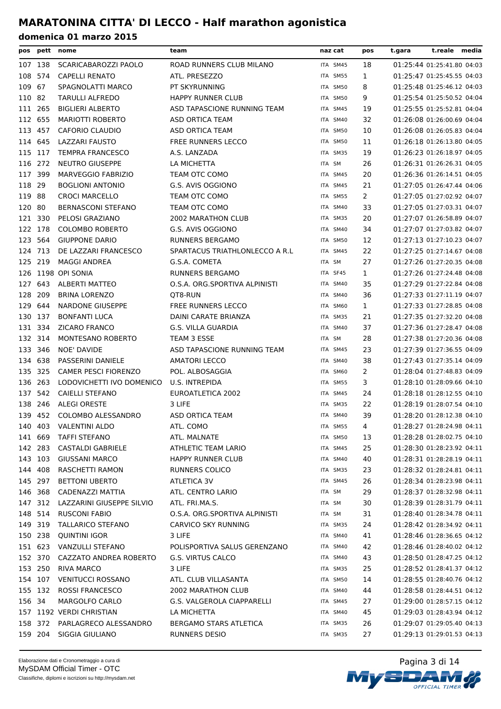| pos     |         | pett nome                   | team                            | naz cat  | pos            | t.reale media<br>t.gara    |
|---------|---------|-----------------------------|---------------------------------|----------|----------------|----------------------------|
|         | 107 138 | SCARICABAROZZI PAOLO        | ROAD RUNNERS CLUB MILANO        | ITA SM45 | 18             | 01:25:44 01:25:41.80 04:03 |
| 108     | 574     | <b>CAPELLI RENATO</b>       | ATL. PRESEZZO                   | ITA SM55 | 1              | 01:25:47 01:25:45.55 04:03 |
| 109     | 67      | SPAGNOLATTI MARCO           | PT SKYRUNNING                   | ITA SM50 | 8              | 01:25:48 01:25:46.12 04:03 |
| 110 82  |         | <b>TARULLI ALFREDO</b>      | <b>HAPPY RUNNER CLUB</b>        | ITA SM50 | 9              | 01:25:54 01:25:50.52 04:04 |
|         | 111 265 | <b>BIGLIERI ALBERTO</b>     | ASD TAPASCIONE RUNNING TEAM     | ITA SM45 | 19             | 01:25:55 01:25:52.81 04:04 |
|         | 112 655 | <b>MARIOTTI ROBERTO</b>     | ASD ORTICA TEAM                 | ITA SM40 | 32             | 01:26:08 01:26:00.69 04:04 |
| 113     | 457     | <b>CAFORIO CLAUDIO</b>      | ASD ORTICA TEAM                 | ITA SM50 | 10             | 01:26:08 01:26:05.83 04:04 |
|         | 114 645 | LAZZARI FAUSTO              | <b>FREE RUNNERS LECCO</b>       | ITA SM50 | 11             | 01:26:18 01:26:13.80 04:05 |
|         | 115 117 | <b>TEMPRA FRANCESCO</b>     | A.S. LANZADA                    | ITA SM35 | 19             | 01:26:23 01:26:18.97 04:05 |
| 116 272 |         | <b>NEUTRO GIUSEPPE</b>      | LA MICHETTA                     | ITA SM   | 26             | 01:26:31 01:26:26.31 04:05 |
|         | 117 399 | <b>MARVEGGIO FABRIZIO</b>   | TEAM OTC COMO                   | ITA SM45 | 20             | 01:26:36 01:26:14.51 04:05 |
| 118 29  |         | <b>BOGLIONI ANTONIO</b>     | G.S. AVIS OGGIONO               | ITA SM45 | 21             | 01:27:05 01:26:47.44 04:06 |
| 119 88  |         | <b>CROCI MARCELLO</b>       | TEAM OTC COMO                   | ITA SM55 | $\overline{2}$ | 01:27:05 01:27:02.92 04:07 |
| 120 80  |         | <b>BERNASCONI STEFANO</b>   | TEAM OTC COMO                   | ITA SM40 | 33             | 01:27:05 01:27:03.31 04:07 |
|         | 121 330 | PELOSI GRAZIANO             | <b>2002 MARATHON CLUB</b>       | ITA SM35 | 20             | 01:27:07 01:26:58.89 04:07 |
|         | 122 178 | <b>COLOMBO ROBERTO</b>      | G.S. AVIS OGGIONO               | ITA SM40 | 34             | 01:27:07 01:27:03.82 04:07 |
|         | 123 564 | <b>GIUPPONE DARIO</b>       | <b>RUNNERS BERGAMO</b>          | ITA SM50 | 12             | 01:27:13 01:27:10.23 04:07 |
|         | 124 713 | DE LAZZARI FRANCESCO        | SPARTACUS TRIATHLONLECCO A R.L. | ITA SM45 | 22             | 01:27:25 01:27:14.67 04:08 |
|         | 125 219 | <b>MAGGI ANDREA</b>         | G.S.A. COMETA                   | ITA SM   | 27             | 01:27:26 01:27:20.35 04:08 |
|         |         | 126 1198 OPI SONIA          | <b>RUNNERS BERGAMO</b>          | ITA SF45 | $\mathbf{1}$   | 01:27:26 01:27:24.48 04:08 |
| 127     | 643     | ALBERTI MATTEO              | O.S.A. ORG.SPORTIVA ALPINISTI   | ITA SM40 | 35             | 01:27:29 01:27:22.84 04:08 |
|         | 128 209 | <b>BRINA LORENZO</b>        | QT8-RUN                         | ITA SM40 | 36             | 01:27:33 01:27:11.19 04:07 |
|         | 129 644 | <b>NARDONE GIUSEPPE</b>     | <b>FREE RUNNERS LECCO</b>       | ITA SM60 | 1              | 01:27:33 01:27:28.85 04:08 |
|         | 130 137 | <b>BONFANTI LUCA</b>        | DAINI CARATE BRIANZA            | ITA SM35 | 21             | 01:27:35 01:27:32.20 04:08 |
| 131 334 |         | <b>ZICARO FRANCO</b>        | G.S. VILLA GUARDIA              | ITA SM40 | 37             | 01:27:36 01:27:28.47 04:08 |
| 132 314 |         | MONTESANO ROBERTO           | TEAM 3 ESSE                     | ITA SM   | 28             | 01:27:38 01:27:20.36 04:08 |
| 133     | 346     | NOE' DAVIDE                 | ASD TAPASCIONE RUNNING TEAM     | ITA SM45 | 23             | 01:27:39 01:27:36.55 04:09 |
| 134     | 638     | PASSERINI DANIELE           | <b>AMATORI LECCO</b>            | ITA SM40 | 38             | 01:27:43 01:27:35.14 04:09 |
| 135 325 |         | <b>CAMER PESCI FIORENZO</b> | POL. ALBOSAGGIA                 | ITA SM60 | 2              | 01:28:04 01:27:48.83 04:09 |
|         | 136 263 | LODOVICHETTI IVO DOMENICO   | U.S. INTREPIDA                  | ITA SM55 | 3              | 01:28:10 01:28:09.66 04:10 |
| 137 542 |         | <b>CAIELLI STEFANO</b>      | EUROATLETICA 2002               | ITA SM45 | 24             | 01:28:18 01:28:12.55 04:10 |
|         | 138 246 | <b>ALEGI ORESTE</b>         | 3 LIFE                          | ITA SM35 | 22             | 01:28:19 01:28:07.54 04:10 |
|         | 139 452 | COLOMBO ALESSANDRO          | ASD ORTICA TEAM                 | ITA SM40 | 39             | 01:28:20 01:28:12.38 04:10 |
| 140 403 |         | <b>VALENTINI ALDO</b>       | ATL. COMO                       | ITA SM55 | 4              | 01:28:27 01:28:24.98 04:11 |
|         | 141 669 | <b>TAFFI STEFANO</b>        | ATL. MALNATE                    | ITA SM50 | 13             | 01:28:28 01:28:02.75 04:10 |
|         | 142 283 | <b>CASTALDI GABRIELE</b>    | ATHLETIC TEAM LARIO             | ITA SM45 | 25             | 01:28:30 01:28:23.92 04:11 |
|         | 143 103 | <b>GIUSSANI MARCO</b>       | <b>HAPPY RUNNER CLUB</b>        | ITA SM40 | 40             | 01:28:31 01:28:28.19 04:11 |
|         | 144 408 | RASCHETTI RAMON             | RUNNERS COLICO                  | ITA SM35 | 23             | 01:28:32 01:28:24.81 04:11 |
|         | 145 297 | <b>BETTONI UBERTO</b>       | ATLETICA 3V                     | ITA SM45 | 26             | 01:28:34 01:28:23.98 04:11 |
|         | 146 368 | CADENAZZI MATTIA            | ATL. CENTRO LARIO               | ITA SM   | 29             | 01:28:37 01:28:32.98 04:11 |
|         | 147 312 | LAZZARINI GIUSEPPE SILVIO   | ATL. FRI.MA.S.                  | ITA SM   | 30             | 01:28:39 01:28:31.79 04:11 |
|         | 148 514 | <b>RUSCONI FABIO</b>        | O.S.A. ORG.SPORTIVA ALPINISTI   | ITA SM   | 31             | 01:28:40 01:28:34.78 04:11 |
|         | 149 319 | <b>TALLARICO STEFANO</b>    | CARVICO SKY RUNNING             | ITA SM35 | 24             | 01:28:42 01:28:34.92 04:11 |
|         | 150 238 | QUINTINI IGOR               | 3 LIFE                          | ITA SM40 | 41             | 01:28:46 01:28:36.65 04:12 |
|         | 151 623 | VANZULLI STEFANO            | POLISPORTIVA SALUS GERENZANO    | ITA SM40 | 42             | 01:28:46 01:28:40.02 04:12 |
|         | 152 370 | CAZZATO ANDREA ROBERTO      | G.S. VIRTUS CALCO               | ITA SM40 | 43             | 01:28:50 01:28:47.25 04:12 |
|         | 153 250 | <b>RIVA MARCO</b>           | 3 LIFE                          | ITA SM35 | 25             | 01:28:52 01:28:41.37 04:12 |
|         | 154 107 | <b>VENITUCCI ROSSANO</b>    | ATL. CLUB VILLASANTA            | ITA SM50 | 14             | 01:28:55 01:28:40.76 04:12 |
|         | 155 132 | <b>ROSSI FRANCESCO</b>      | 2002 MARATHON CLUB              | ITA SM40 | 44             | 01:28:58 01:28:44.51 04:12 |
| 156 34  |         | MARGOLFO CARLO              | G.S. VALGEROLA CIAPPARELLI      | ITA SM45 | 27             | 01:29:00 01:28:57.15 04:12 |
|         |         | 157 1192 VERDI CHRISTIAN    | LA MICHETTA                     | ITA SM40 | 45             | 01:29:03 01:28:43.94 04:12 |
|         | 158 372 | PARLAGRECO ALESSANDRO       | <b>BERGAMO STARS ATLETICA</b>   | ITA SM35 | 26             | 01:29:07 01:29:05.40 04:13 |
|         | 159 204 | SIGGIA GIULIANO             | RUNNERS DESIO                   | ITA SM35 | 27             | 01:29:13 01:29:01.53 04:13 |

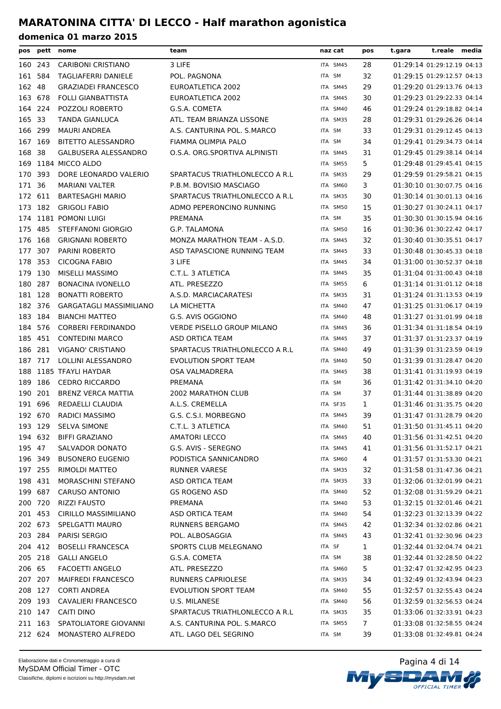| pos    |         | pett nome                   | team                              | naz cat  | pos | t.reale media<br>t.gara    |  |
|--------|---------|-----------------------------|-----------------------------------|----------|-----|----------------------------|--|
|        | 160 243 | <b>CARIBONI CRISTIANO</b>   | 3 LIFE                            | ITA SM45 | 28  | 01:29:14 01:29:12.19 04:13 |  |
|        | 161 584 | <b>TAGLIAFERRI DANIELE</b>  | POL. PAGNONA                      | ITA SM   | 32  | 01:29:15 01:29:12.57 04:13 |  |
| 162 48 |         | <b>GRAZIADEI FRANCESCO</b>  | EUROATLETICA 2002                 | ITA SM45 | 29  | 01:29:20 01:29:13.76 04:13 |  |
| 163    | 678     | <b>FOLLI GIANBATTISTA</b>   | EUROATLETICA 2002                 | ITA SM45 | 30  | 01:29:23 01:29:22.33 04:14 |  |
|        | 164 224 | POZZOLI ROBERTO             | G.S.A. COMETA                     | ITA SM40 | 46  | 01:29:24 01:29:18.82 04:14 |  |
| 165 33 |         | <b>TANDA GIANLUCA</b>       | ATL. TEAM BRIANZA LISSONE         | ITA SM35 | 28  | 01:29:31 01:29:26.26 04:14 |  |
|        | 166 299 | <b>MAURI ANDREA</b>         | A.S. CANTURINA POL. S.MARCO       | ITA SM   | 33  | 01:29:31 01:29:12.45 04:13 |  |
|        | 167 169 | <b>BITETTO ALESSANDRO</b>   | FIAMMA OLIMPIA PALO               | ITA SM   | 34  | 01:29:41 01:29:34.73 04:14 |  |
| 168 38 |         | <b>GALBUSERA ALESSANDRO</b> | O.S.A. ORG.SPORTIVA ALPINISTI     | ITA SM45 | 31  | 01:29:45 01:29:38.14 04:14 |  |
|        |         | 169 1184 MICCO ALDO         |                                   | ITA SM55 | 5.  | 01:29:48 01:29:45.41 04:15 |  |
|        | 170 393 | DORE LEONARDO VALERIO       | SPARTACUS TRIATHLONLECCO A R.L    | ITA SM35 | 29  | 01:29:59 01:29:58.21 04:15 |  |
| 171 36 |         | <b>MARIANI VALTER</b>       | P.B.M. BOVISIO MASCIAGO           | ITA SM60 | 3   | 01:30:10 01:30:07.75 04:16 |  |
|        | 172 611 | <b>BARTESAGHI MARIO</b>     | SPARTACUS TRIATHLONLECCO A R.L    | ITA SM35 | 30  | 01:30:14 01:30:01.13 04:16 |  |
|        | 173 182 | <b>GRIGOLI FABIO</b>        | ADMO PEPERONCINO RUNNING          | ITA SM50 | 15  | 01:30:27 01:30:24.11 04:17 |  |
|        |         | 174 1181 POMONI LUIGI       | PREMANA                           | ITA SM   | 35  | 01:30:30 01:30:15.94 04:16 |  |
|        | 175 485 | STEFFANONI GIORGIO          | G.P. TALAMONA                     | ITA SM50 | 16  | 01:30:36 01:30:22.42 04:17 |  |
|        | 176 168 | <b>GRIGNANI ROBERTO</b>     | MONZA MARATHON TEAM - A.S.D.      | ITA SM45 | 32  | 01:30:40 01:30:35.51 04:17 |  |
|        | 177 307 | PARINI ROBERTO              | ASD TAPASCIONE RUNNING TEAM       | ITA SM45 | 33  | 01:30:48 01:30:45.33 04:18 |  |
|        | 178 353 | <b>CICOGNA FABIO</b>        | 3 LIFE                            | ITA SM45 | 34  | 01:31:00 01:30:52.37 04:18 |  |
| 179    | 130     | MISELLI MASSIMO             | C.T.L. 3 ATLETICA                 | ITA SM45 | 35  | 01:31:04 01:31:00.43 04:18 |  |
|        | 180 287 | <b>BONACINA IVONELLO</b>    | ATL. PRESEZZO                     | ITA SM55 | 6   | 01:31:14 01:31:01.12 04:18 |  |
|        | 181 128 | <b>BONATTI ROBERTO</b>      | A.S.D. MARCIACARATESI             | ITA SM35 | 31  | 01:31:24 01:31:13.53 04:19 |  |
|        | 182 376 | GARGATAGLI MASSIMILIANO     | LA MICHETTA                       | ITA SM40 | 47  | 01:31:25 01:31:06.17 04:19 |  |
|        | 183 184 | <b>BIANCHI MATTEO</b>       | G.S. AVIS OGGIONO                 | ITA SM40 | 48  | 01:31:27 01:31:01.99 04:18 |  |
|        | 184 576 | <b>CORBERI FERDINANDO</b>   | <b>VERDE PISELLO GROUP MILANO</b> | ITA SM45 | 36  | 01:31:34 01:31:18.54 04:19 |  |
|        | 185 451 | <b>CONTEDINI MARCO</b>      | ASD ORTICA TEAM                   | ITA SM45 | 37  | 01:31:37 01:31:23.37 04:19 |  |
| 186    | 281     | VIGANO' CRISTIANO           | SPARTACUS TRIATHLONLECCO A R.L    | ITA SM40 | 49  | 01:31:39 01:31:23.59 04:19 |  |
|        | 187 717 | LOLLINI ALESSANDRO          | <b>EVOLUTION SPORT TEAM</b>       | ITA SM40 | 50  | 01:31:39 01:31:28.47 04:20 |  |
| 188    |         | 1185 TFAYLI HAYDAR          | OSA VALMADRERA                    | ITA SM45 | 38  | 01:31:41 01:31:19.93 04:19 |  |
| 189    | 186     | <b>CEDRO RICCARDO</b>       | PREMANA                           | ITA SM   | 36  | 01:31:42 01:31:34.10 04:20 |  |
| 190    | 201     | BRENZ VERCA MATTIA          | <b>2002 MARATHON CLUB</b>         | ITA SM   | 37  | 01:31:44 01:31:38.89 04:20 |  |
|        | 191 696 | REDAELLI CLAUDIA            | A.L.S. CREMELLA                   | ITA SF35 | 1   | 01:31:46 01:31:35.75 04:20 |  |
|        | 192 670 | <b>RADICI MASSIMO</b>       | G.S. C.S.I. MORBEGNO              | ITA SM45 | 39  | 01:31:47 01:31:28.79 04:20 |  |
|        |         | 193 129 SELVA SIMONE        | C.T.L. 3 ATLETICA                 | ITA SM40 | 51  | 01:31:50 01:31:45.11 04:20 |  |
|        | 194 632 | <b>BIFFI GRAZIANO</b>       | <b>AMATORI LECCO</b>              | ITA SM45 | 40  | 01:31:56 01:31:42.51 04:20 |  |
| 195 47 |         | SALVADOR DONATO             | G.S. AVIS - SEREGNO               | ITA SM45 | 41  | 01:31:56 01:31:52.17 04:21 |  |
|        | 196 349 | <b>BUSONERO EUGENIO</b>     | PODISTICA SANNICANDRO             | ITA SM60 | 4   | 01:31:57 01:31:53.30 04:21 |  |
|        | 197 255 | RIMOLDI MATTEO              | <b>RUNNER VARESE</b>              | ITA SM35 | 32  | 01:31:58 01:31:47.36 04:21 |  |
|        | 198 431 | MORASCHINI STEFANO          | ASD ORTICA TEAM                   | ITA SM35 | 33  | 01:32:06 01:32:01.99 04:21 |  |
|        | 199 687 | <b>CARUSO ANTONIO</b>       | <b>GS ROGENO ASD</b>              | ITA SM40 | 52  | 01:32:08 01:31:59.29 04:21 |  |
|        | 200 720 | <b>RIZZI FAUSTO</b>         | PREMANA                           | ITA SM40 | 53  | 01:32:15 01:32:01.46 04:21 |  |
|        | 201 453 | CIRILLO MASSIMILIANO        | ASD ORTICA TEAM                   | ITA SM40 | 54  | 01:32:23 01:32:13.39 04:22 |  |
|        | 202 673 | SPELGATTI MAURO             | RUNNERS BERGAMO                   | ITA SM45 | 42  | 01:32:34 01:32:02.86 04:21 |  |
|        | 203 284 | PARISI SERGIO               | POL. ALBOSAGGIA                   | ITA SM45 | 43  | 01:32:41 01:32:30.96 04:23 |  |
|        | 204 412 | <b>BOSELLI FRANCESCA</b>    | SPORTS CLUB MELEGNANO             | ITA SF   | 1   | 01:32:44 01:32:04.74 04:21 |  |
|        | 205 218 | <b>GALLI ANGELO</b>         | G.S.A. COMETA                     | ITA SM   | 38  | 01:32:44 01:32:28.50 04:22 |  |
| 206 65 |         | <b>FACOETTI ANGELO</b>      | ATL. PRESEZZO                     | ITA SM60 | 5.  | 01:32:47 01:32:42.95 04:23 |  |
|        | 207 207 | <b>MAIFREDI FRANCESCO</b>   | RUNNERS CAPRIOLESE                | ITA SM35 | 34  | 01:32:49 01:32:43.94 04:23 |  |
|        | 208 127 | <b>CORTI ANDREA</b>         | <b>EVOLUTION SPORT TEAM</b>       | ITA SM40 | 55  | 01:32:57 01:32:55.43 04:24 |  |
|        | 209 193 | CAVALIERI FRANCESCO         | U.S. MILANESE                     | ITA SM40 | 56  | 01:32:59 01:32:56.53 04:24 |  |
|        | 210 147 | CAITI DINO                  | SPARTACUS TRIATHLONLECCO A R.L    | ITA SM35 | 35  | 01:33:06 01:32:33.91 04:23 |  |
|        | 211 163 | SPATOLIATORE GIOVANNI       | A.S. CANTURINA POL. S.MARCO       | ITA SM55 | 7   | 01:33:08 01:32:58.55 04:24 |  |
|        | 212 624 | MONASTERO ALFREDO           | ATL. LAGO DEL SEGRINO             | ITA SM   | 39  | 01:33:08 01:32:49.81 04:24 |  |

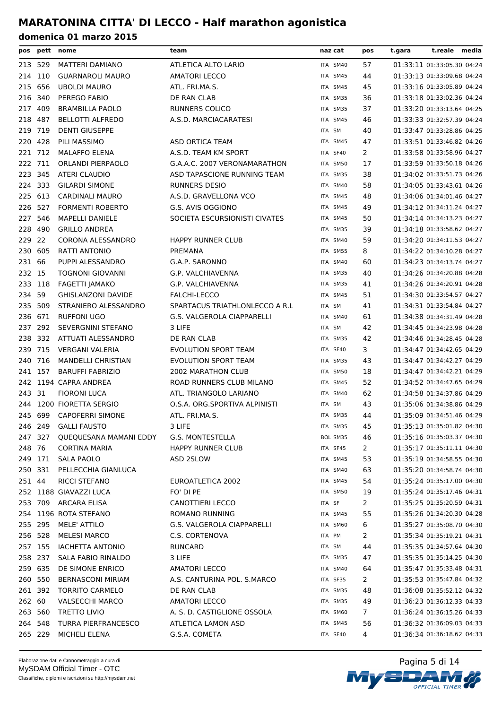| pos     |         | pett nome                     | team                              | naz cat  | pos            | t.gara | t.reale media              |  |
|---------|---------|-------------------------------|-----------------------------------|----------|----------------|--------|----------------------------|--|
| 213 529 |         | MATTERI DAMIANO               | ATLETICA ALTO LARIO               | ITA SM40 | 57             |        | 01:33:11 01:33:05.30 04:24 |  |
| 214 110 |         | <b>GUARNAROLI MAURO</b>       | <b>AMATORI LECCO</b>              | ITA SM45 | 44             |        | 01:33:13 01:33:09.68 04:24 |  |
| 215     | 656     | <b>UBOLDI MAURO</b>           | ATL. FRI.MA.S.                    | ITA SM45 | 45             |        | 01:33:16 01:33:05.89 04:24 |  |
| 216 340 |         | PEREGO FABIO                  | DE RAN CLAB                       | ITA SM35 | 36             |        | 01:33:18 01:33:02.36 04:24 |  |
| 217     | 409     | <b>BRAMBILLA PAOLO</b>        | <b>RUNNERS COLICO</b>             | ITA SM35 | 37             |        | 01:33:20 01:33:13.64 04:25 |  |
| 218     | 487     | <b>BELLOTTI ALFREDO</b>       | A.S.D. MARCIACARATESI             | ITA SM45 | 46             |        | 01:33:33 01:32:57.39 04:24 |  |
| 219     | 719     | <b>DENTI GIUSEPPE</b>         |                                   | ITA SM   | 40             |        | 01:33:47 01:33:28.86 04:25 |  |
| 220 428 |         | PILI MASSIMO                  | ASD ORTICA TEAM                   | ITA SM45 | 47             |        | 01:33:51 01:33:46.82 04:26 |  |
| 221 712 |         | <b>MALAFFO ELENA</b>          | A.S.D. TEAM KM SPORT              | ITA SF40 | 2              |        | 01:33:58 01:33:58.96 04:27 |  |
| 222 711 |         | ORLANDI PIERPAOLO             | G.A.A.C. 2007 VERONAMARATHON      | ITA SM50 | 17             |        | 01:33:59 01:33:50.18 04:26 |  |
| 223 345 |         | <b>ATERI CLAUDIO</b>          | ASD TAPASCIONE RUNNING TEAM       | ITA SM35 | 38             |        | 01:34:02 01:33:51.73 04:26 |  |
| 224 333 |         | <b>GILARDI SIMONE</b>         | RUNNERS DESIO                     | ITA SM40 | 58             |        | 01:34:05 01:33:43.61 04:26 |  |
| 225     | 613     | <b>CARDINALI MAURO</b>        | A.S.D. GRAVELLONA VCO             | ITA SM45 | 48             |        | 01:34:06 01:34:01.46 04:27 |  |
| 226     | 527     | <b>FORMENTI ROBERTO</b>       | G.S. AVIS OGGIONO                 | ITA SM45 | 49             |        | 01:34:12 01:34:11.24 04:27 |  |
| 227     | 546     | <b>MAPELLI DANIELE</b>        | SOCIETA ESCURSIONISTI CIVATES     | ITA SM45 | 50             |        | 01:34:14 01:34:13.23 04:27 |  |
| 228     | 490     | <b>GRILLO ANDREA</b>          |                                   | ITA SM35 | 39             |        | 01:34:18 01:33:58.62 04:27 |  |
| 229 22  |         | CORONA ALESSANDRO             | <b>HAPPY RUNNER CLUB</b>          | ITA SM40 | 59             |        | 01:34:20 01:34:11.53 04:27 |  |
| 230     | 605     | <b>RATTI ANTONIO</b>          | PREMANA                           | ITA SM55 | 8              |        | 01:34:22 01:34:10.28 04:27 |  |
| 231 66  |         | PUPPI ALESSANDRO              | G.A.P. SARONNO                    | ITA SM40 | 60             |        | 01:34:23 01:34:13.74 04:27 |  |
| 232 15  |         | <b>TOGNONI GIOVANNI</b>       | G.P. VALCHIAVENNA                 | ITA SM35 | 40             |        | 01:34:26 01:34:20.88 04:28 |  |
| 233 118 |         | FAGETTI JAMAKO                | G.P. VALCHIAVENNA                 | ITA SM35 | 41             |        | 01:34:26 01:34:20.91 04:28 |  |
| 234 59  |         | <b>GHISLANZONI DAVIDE</b>     | FALCHI-LECCO                      | ITA SM45 | 51             |        | 01:34:30 01:33:54.57 04:27 |  |
| 235 509 |         | STRANIERO ALESSANDRO          | SPARTACUS TRIATHLONLECCO A R.L    | ITA SM   | 41             |        | 01:34:31 01:33:54.84 04:27 |  |
| 236     | 671     | <b>RUFFONI UGO</b>            | G.S. VALGEROLA CIAPPARELLI        | ITA SM40 | 61             |        | 01:34:38 01:34:31.49 04:28 |  |
| 237     | 292     | SEVERGNINI STEFANO            | 3 LIFE                            | ITA SM   | 42             |        | 01:34:45 01:34:23.98 04:28 |  |
| 238     | 332     | ATTUATI ALESSANDRO            | DE RAN CLAB                       | ITA SM35 | 42             |        | 01:34:46 01:34:28.45 04:28 |  |
| 239 715 |         | <b>VERGANI VALERIA</b>        | <b>EVOLUTION SPORT TEAM</b>       | ITA SF40 | 3              |        | 01:34:47 01:34:42.65 04:29 |  |
| 240     | 716     | <b>MANDELLI CHRISTIAN</b>     | EVOLUTION SPORT TEAM              | ITA SM35 | 43             |        | 01:34:47 01:34:42.27 04:29 |  |
| 241 157 |         | <b>BARUFFI FABRIZIO</b>       | 2002 MARATHON CLUB                | ITA SM50 | 18             |        | 01:34:47 01:34:42.21 04:29 |  |
|         |         | 242 1194 CAPRA ANDREA         | ROAD RUNNERS CLUB MILANO          | ITA SM45 | 52             |        | 01:34:52 01:34:47.65 04:29 |  |
| 243 31  |         | <b>FIORONI LUCA</b>           | ATL. TRIANGOLO LARIANO            | ITA SM40 | 62             |        | 01:34:58 01:34:37.86 04:29 |  |
|         |         | 244 1200 FIORETTA SERGIO      | O.S.A. ORG.SPORTIVA ALPINISTI     | ITA SM   | 43             |        | 01:35:06 01:34:38.86 04:29 |  |
| 245 699 |         | <b>CAPOFERRI SIMONE</b>       | ATL. FRI.MA.S.                    | ITA SM35 | 44             |        | 01:35:09 01:34:51.46 04:29 |  |
| 246 249 |         | <b>GALLI FAUSTO</b>           | 3 LIFE                            | ITA SM35 | 45             |        | 01:35:13 01:35:01.82 04:30 |  |
|         | 247 327 | <b>QUEQUESANA MAMANI EDDY</b> | G.S. MONTESTELLA                  | BOL SM35 | 46             |        | 01:35:16 01:35:03.37 04:30 |  |
| 248 76  |         | <b>CORTINA MARIA</b>          | <b>HAPPY RUNNER CLUB</b>          | ITA SF45 | $\overline{2}$ |        | 01:35:17 01:35:11.11 04:30 |  |
|         | 249 171 | <b>SALA PAOLO</b>             | ASD 2SLOW                         | ITA SM45 | 53             |        | 01:35:19 01:34:58.55 04:30 |  |
|         | 250 331 | PELLECCHIA GIANLUCA           |                                   | ITA SM40 | 63             |        | 01:35:20 01:34:58.74 04:30 |  |
| 251 44  |         | <b>RICCI STEFANO</b>          | EUROATLETICA 2002                 | ITA SM45 | 54             |        | 01:35:24 01:35:17.00 04:30 |  |
|         |         | 252 1188 GIAVAZZI LUCA        | FO' DI PE                         | ITA SM50 | 19             |        | 01:35:24 01:35:17.46 04:31 |  |
|         | 253 709 | ARCARA ELISA                  | CANOTTIERI LECCO                  | ITA SF   | 2              |        | 01:35:25 01:35:20.59 04:31 |  |
|         |         | 254 1196 ROTA STEFANO         | <b>ROMANO RUNNING</b>             | ITA SM45 | 55             |        | 01:35:26 01:34:20.30 04:28 |  |
|         | 255 295 | MELE' ATTILO                  | <b>G.S. VALGEROLA CIAPPARELLI</b> | ITA SM60 | 6              |        | 01:35:27 01:35:08.70 04:30 |  |
| 256 528 |         | <b>MELESI MARCO</b>           | C.S. CORTENOVA                    | ITA PM   | 2              |        | 01:35:34 01:35:19.21 04:31 |  |
| 257 155 |         | <b>IACHETTA ANTONIO</b>       | <b>RUNCARD</b>                    | ITA SM   | 44             |        | 01:35:35 01:34:57.64 04:30 |  |
|         | 258 237 | SALA FABIO RINALDO            | 3 LIFE                            | ITA SM35 | 47             |        | 01:35:35 01:35:14.25 04:30 |  |
| 259 635 |         | DE SIMONE ENRICO              | <b>AMATORI LECCO</b>              | ITA SM40 | 64             |        | 01:35:47 01:35:33.48 04:31 |  |
| 260 550 |         | <b>BERNASCONI MIRIAM</b>      | A.S. CANTURINA POL. S.MARCO       | ITA SF35 | $\overline{2}$ |        | 01:35:53 01:35:47.84 04:32 |  |
|         | 261 392 | <b>TORRITO CARMELO</b>        | DE RAN CLAB                       | ITA SM35 | 48             |        | 01:36:08 01:35:52.12 04:32 |  |
| 262 60  |         | <b>VALSECCHI MARCO</b>        | <b>AMATORI LECCO</b>              | ITA SM35 | 49             |        | 01:36:23 01:36:12.33 04:33 |  |
| 263 560 |         | <b>TRETTO LIVIO</b>           | A. S. D. CASTIGLIONE OSSOLA       | ITA SM60 | 7              |        | 01:36:24 01:36:15.26 04:33 |  |
| 264 548 |         | <b>TURRA PIERFRANCESCO</b>    | ATLETICA LAMON ASD                | ITA SM45 | 56             |        | 01:36:32 01:36:09.03 04:33 |  |
|         | 265 229 | MICHELI ELENA                 | G.S.A. COMETA                     | ITA SF40 | 4              |        | 01:36:34 01:36:18.62 04:33 |  |
|         |         |                               |                                   |          |                |        |                            |  |

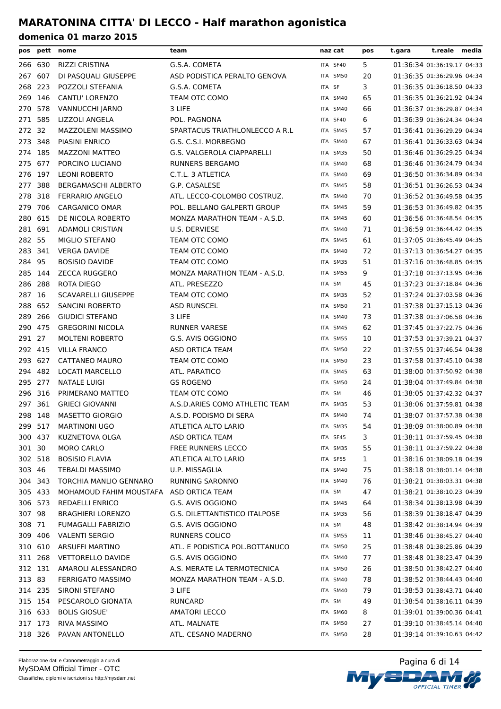| G.S.A. COMETA<br>5<br>266 630<br><b>RIZZI CRISTINA</b><br>ITA SF40<br>20<br>267<br>607<br>DI PASQUALI GIUSEPPE<br>ASD PODISTICA PERALTO GENOVA<br>ITA SM50<br>223<br>3<br>268<br>POZZOLI STEFANIA<br>G.S.A. COMETA<br>ITA SF<br>65<br>269<br>146<br>CANTU' LORENZO<br>TEAM OTC COMO<br>ITA SM40<br>578<br>66<br>270<br>VANNUCCHI JARNO<br>3 LIFE<br>ITA SM40<br>585<br>6<br>271<br>LIZZOLI ANGELA<br>POL. PAGNONA<br>ITA SF40<br>272 32<br>MAZZOLENI MASSIMO<br>SPARTACUS TRIATHLONLECCO A R.L<br>57<br>ITA SM45 | 01:36:34 01:36:19.17 04:33<br>01:36:35 01:36:29.96 04:34<br>01:36:35 01:36:18.50 04:33<br>01:36:35 01:36:21.92 04:34<br>01:36:37 01:36:29.87 04:34<br>01:36:39 01:36:24.34 04:34<br>01:36:41 01:36:29.29 04:34<br>01:36:41 01:36:33.63 04:34 |  |
|------------------------------------------------------------------------------------------------------------------------------------------------------------------------------------------------------------------------------------------------------------------------------------------------------------------------------------------------------------------------------------------------------------------------------------------------------------------------------------------------------------------|----------------------------------------------------------------------------------------------------------------------------------------------------------------------------------------------------------------------------------------------|--|
|                                                                                                                                                                                                                                                                                                                                                                                                                                                                                                                  |                                                                                                                                                                                                                                              |  |
|                                                                                                                                                                                                                                                                                                                                                                                                                                                                                                                  |                                                                                                                                                                                                                                              |  |
|                                                                                                                                                                                                                                                                                                                                                                                                                                                                                                                  |                                                                                                                                                                                                                                              |  |
|                                                                                                                                                                                                                                                                                                                                                                                                                                                                                                                  |                                                                                                                                                                                                                                              |  |
|                                                                                                                                                                                                                                                                                                                                                                                                                                                                                                                  |                                                                                                                                                                                                                                              |  |
|                                                                                                                                                                                                                                                                                                                                                                                                                                                                                                                  |                                                                                                                                                                                                                                              |  |
|                                                                                                                                                                                                                                                                                                                                                                                                                                                                                                                  |                                                                                                                                                                                                                                              |  |
| 273 348<br>PIASINI ENRICO<br>G.S. C.S.I. MORBEGNO<br>ITA SM40<br>67                                                                                                                                                                                                                                                                                                                                                                                                                                              |                                                                                                                                                                                                                                              |  |
| 274 185<br><b>MAZZONI MATTEO</b><br><b>G.S. VALGEROLA CIAPPARELLI</b><br>ITA SM35<br>50                                                                                                                                                                                                                                                                                                                                                                                                                          | 01:36:46 01:36:29.25 04:34                                                                                                                                                                                                                   |  |
| 275 677<br>PORCINO LUCIANO<br><b>RUNNERS BERGAMO</b><br>68<br>ITA SM40                                                                                                                                                                                                                                                                                                                                                                                                                                           | 01:36:46 01:36:24.79 04:34                                                                                                                                                                                                                   |  |
| 276 197<br>C.T.L. 3 ATLETICA<br><b>LEONI ROBERTO</b><br>69<br>ITA SM40                                                                                                                                                                                                                                                                                                                                                                                                                                           | 01:36:50 01:36:34.89 04:34                                                                                                                                                                                                                   |  |
| 388<br>277<br><b>BERGAMASCHI ALBERTO</b><br>G.P. CASALESE<br>58<br>ITA SM45                                                                                                                                                                                                                                                                                                                                                                                                                                      | 01:36:51 01:36:26.53 04:34                                                                                                                                                                                                                   |  |
| 278<br>318<br>ATL. LECCO-COLOMBO COSTRUZ.<br>70<br><b>FERRARIO ANGELO</b><br>ITA SM40                                                                                                                                                                                                                                                                                                                                                                                                                            | 01:36:52 01:36:49.58 04:35                                                                                                                                                                                                                   |  |
| 706<br>POL. BELLANO GALPERTI GROUP<br>59<br>279<br><b>CARGANICO OMAR</b><br>ITA SM45                                                                                                                                                                                                                                                                                                                                                                                                                             | 01:36:53 01:36:49.82 04:35                                                                                                                                                                                                                   |  |
| 615<br>280<br>DE NICOLA ROBERTO<br>MONZA MARATHON TEAM - A.S.D.<br>60<br>ITA SM45                                                                                                                                                                                                                                                                                                                                                                                                                                | 01:36:56 01:36:48.54 04:35                                                                                                                                                                                                                   |  |
| 691<br>281<br><b>ADAMOLI CRISTIAN</b><br>U.S. DERVIESE<br>71<br>ITA SM40                                                                                                                                                                                                                                                                                                                                                                                                                                         | 01:36:59 01:36:44.42 04:35                                                                                                                                                                                                                   |  |
| 282 55<br>61<br>MIGLIO STEFANO<br>TEAM OTC COMO<br>ITA SM45                                                                                                                                                                                                                                                                                                                                                                                                                                                      | 01:37:05 01:36:45.49 04:35                                                                                                                                                                                                                   |  |
| 72<br>283 341<br><b>VERGA DAVIDE</b><br>TEAM OTC COMO<br>ITA SM40                                                                                                                                                                                                                                                                                                                                                                                                                                                | 01:37:13 01:36:54.27 04:35                                                                                                                                                                                                                   |  |
| 284 95<br><b>BOSISIO DAVIDE</b><br>TEAM OTC COMO<br>51<br>ITA SM35                                                                                                                                                                                                                                                                                                                                                                                                                                               | 01:37:16 01:36:48.85 04:35                                                                                                                                                                                                                   |  |
| 9<br>285<br>144<br><b>ZECCA RUGGERO</b><br>MONZA MARATHON TEAM - A.S.D.<br>ITA SM55                                                                                                                                                                                                                                                                                                                                                                                                                              | 01:37:18 01:37:13.95 04:36                                                                                                                                                                                                                   |  |
| 286 288<br>ROTA DIEGO<br>ATL. PRESEZZO<br>ITA SM<br>45                                                                                                                                                                                                                                                                                                                                                                                                                                                           | 01:37:23 01:37:18.84 04:36                                                                                                                                                                                                                   |  |
| 287 16<br>TEAM OTC COMO<br>52<br><b>SCAVARELLI GIUSEPPE</b><br>ITA SM35                                                                                                                                                                                                                                                                                                                                                                                                                                          | 01:37:24 01:37:03.58 04:36                                                                                                                                                                                                                   |  |
| 652<br><b>ASD RUNSCEL</b><br>21<br>288<br><b>SANCINI ROBERTO</b><br>ITA SM50                                                                                                                                                                                                                                                                                                                                                                                                                                     | 01:37:38 01:37:15.13 04:36                                                                                                                                                                                                                   |  |
| 3 LIFE<br>73<br>289<br>266<br><b>GIUDICI STEFANO</b><br>ITA SM40                                                                                                                                                                                                                                                                                                                                                                                                                                                 | 01:37:38 01:37:06.58 04:36                                                                                                                                                                                                                   |  |
| 475<br>290<br><b>GREGORINI NICOLA</b><br>62<br>RUNNER VARESE<br>ITA SM45                                                                                                                                                                                                                                                                                                                                                                                                                                         | 01:37:45 01:37:22.75 04:36                                                                                                                                                                                                                   |  |
| 27<br>291<br><b>MOLTENI ROBERTO</b><br>G.S. AVIS OGGIONO<br>10<br>ITA SM55                                                                                                                                                                                                                                                                                                                                                                                                                                       | 01:37:53 01:37:39.21 04:37                                                                                                                                                                                                                   |  |
| <b>ASD ORTICA TEAM</b><br>22<br>292<br>415<br><b>VILLA FRANCO</b><br>ITA SM50                                                                                                                                                                                                                                                                                                                                                                                                                                    | 01:37:55 01:37:46.54 04:38                                                                                                                                                                                                                   |  |
| 627<br>23<br>293<br>CATTANEO MAURO<br>TEAM OTC COMO<br>ITA SM50                                                                                                                                                                                                                                                                                                                                                                                                                                                  | 01:37:58 01:37:45.10 04:38                                                                                                                                                                                                                   |  |
| 482<br>63<br>294<br>LOCATI MARCELLO<br>ATL. PARATICO<br>ITA SM45                                                                                                                                                                                                                                                                                                                                                                                                                                                 | 01:38:00 01:37:50.92 04:38                                                                                                                                                                                                                   |  |
| 295 277<br><b>NATALE LUIGI</b><br><b>GS ROGENO</b><br>24<br>ITA SM50                                                                                                                                                                                                                                                                                                                                                                                                                                             | 01:38:04 01:37:49.84 04:38                                                                                                                                                                                                                   |  |
| 296 316<br>PRIMERANO MATTEO<br>TEAM OTC COMO<br>46<br>ITA SM                                                                                                                                                                                                                                                                                                                                                                                                                                                     | 01:38:05 01:37:42.32 04:37                                                                                                                                                                                                                   |  |
| 297 361<br><b>GRIECI GIOVANNI</b><br>A.S.D.ARIES COMO ATHLETIC TEAM<br>53<br>ITA SM35                                                                                                                                                                                                                                                                                                                                                                                                                            | 01:38:06 01:37:59.81 04:38                                                                                                                                                                                                                   |  |
| 298 148<br><b>MASETTO GIORGIO</b><br>A.S.D. PODISMO DI SERA<br>ITA SM40<br>74                                                                                                                                                                                                                                                                                                                                                                                                                                    | 01:38:07 01:37:57.38 04:38                                                                                                                                                                                                                   |  |
| 299 517<br><b>MARTINONI UGO</b><br>ATLETICA ALTO LARIO<br>54<br>ITA SM35                                                                                                                                                                                                                                                                                                                                                                                                                                         | 01:38:09 01:38:00.89 04:38                                                                                                                                                                                                                   |  |
| 300 437<br>KUZNETOVA OLGA<br>ASD ORTICA TEAM<br>3<br>ITA SF45                                                                                                                                                                                                                                                                                                                                                                                                                                                    | 01:38:11 01:37:59.45 04:38                                                                                                                                                                                                                   |  |
| 301 30<br><b>MORO CARLO</b><br><b>FREE RUNNERS LECCO</b><br>55<br>ITA SM35                                                                                                                                                                                                                                                                                                                                                                                                                                       | 01:38:11 01:37:59.22 04:38                                                                                                                                                                                                                   |  |
| 302 518<br>$\mathbf{1}$<br><b>BOSISIO FLAVIA</b><br>ATLETICA ALTO LARIO<br>ITA SF55                                                                                                                                                                                                                                                                                                                                                                                                                              | 01:38:16 01:38:09.18 04:39                                                                                                                                                                                                                   |  |
| 303 46<br>U.P. MISSAGLIA<br>75<br>TEBALDI MASSIMO<br>ITA SM40                                                                                                                                                                                                                                                                                                                                                                                                                                                    | 01:38:18 01:38:01.14 04:38                                                                                                                                                                                                                   |  |
| 304 343<br>TORCHIA MANLIO GENNARO<br><b>RUNNING SARONNO</b><br>76<br>ITA SM40                                                                                                                                                                                                                                                                                                                                                                                                                                    | 01:38:21 01:38:03.31 04:38                                                                                                                                                                                                                   |  |
| 305 433<br>MOHAMOUD FAHIM MOUSTAFA<br>ASD ORTICA TEAM<br>47<br>ITA SM                                                                                                                                                                                                                                                                                                                                                                                                                                            | 01:38:21 01:38:10.23 04:39                                                                                                                                                                                                                   |  |
| 306 573<br>G.S. AVIS OGGIONO<br>REDAELLI ENRICO<br>ITA SM45<br>64                                                                                                                                                                                                                                                                                                                                                                                                                                                | 01:38:34 01:38:13.98 04:39                                                                                                                                                                                                                   |  |
| 307 98<br><b>BRAGHIERI LORENZO</b><br>G.S. DILETTANTISTICO ITALPOSE<br>ITA SM35<br>56                                                                                                                                                                                                                                                                                                                                                                                                                            | 01:38:39 01:38:18.47 04:39                                                                                                                                                                                                                   |  |
| 308 71<br>48<br>FUMAGALLI FABRIZIO<br>G.S. AVIS OGGIONO<br>ITA SM                                                                                                                                                                                                                                                                                                                                                                                                                                                | 01:38:42 01:38:14.94 04:39                                                                                                                                                                                                                   |  |
| 309 406<br><b>VALENTI SERGIO</b><br><b>RUNNERS COLICO</b><br>ITA SM55<br>11                                                                                                                                                                                                                                                                                                                                                                                                                                      | 01:38:46 01:38:45.27 04:40                                                                                                                                                                                                                   |  |
| 310 610<br><b>ARSUFFI MARTINO</b><br>ATL. E PODISTICA POL.BOTTANUCO<br>25<br>ITA SM50                                                                                                                                                                                                                                                                                                                                                                                                                            | 01:38:48 01:38:25.86 04:39                                                                                                                                                                                                                   |  |
| 311 268<br><b>VETTORELLO DAVIDE</b><br>G.S. AVIS OGGIONO<br>ITA SM40<br>77                                                                                                                                                                                                                                                                                                                                                                                                                                       | 01:38:48 01:38:23.47 04:39                                                                                                                                                                                                                   |  |
| 312 131<br>A.S. MERATE LA TERMOTECNICA<br>26<br>AMAROLI ALESSANDRO<br>ITA SM50                                                                                                                                                                                                                                                                                                                                                                                                                                   | 01:38:50 01:38:42.27 04:40                                                                                                                                                                                                                   |  |
| 313 83<br><b>FERRIGATO MASSIMO</b><br>MONZA MARATHON TEAM - A.S.D.<br>78<br>ITA SM40                                                                                                                                                                                                                                                                                                                                                                                                                             | 01:38:52 01:38:44.43 04:40                                                                                                                                                                                                                   |  |
| 314 235<br>SIRONI STEFANO<br>79<br>3 LIFE<br>ITA SM40                                                                                                                                                                                                                                                                                                                                                                                                                                                            | 01:38:53 01:38:43.71 04:40                                                                                                                                                                                                                   |  |
| 315 154<br>PESCAROLO GIONATA<br>49<br>RUNCARD<br>ITA SM                                                                                                                                                                                                                                                                                                                                                                                                                                                          | 01:38:54 01:38:16.11 04:39                                                                                                                                                                                                                   |  |
| 316 633<br><b>BOLIS GIOSUE'</b><br><b>AMATORI LECCO</b><br>ITA SM60<br>8                                                                                                                                                                                                                                                                                                                                                                                                                                         | 01:39:01 01:39:00.36 04:41                                                                                                                                                                                                                   |  |
| 317 173<br>RIVA MASSIMO<br>ATL. MALNATE<br>ITA SM50<br>27                                                                                                                                                                                                                                                                                                                                                                                                                                                        | 01:39:10 01:38:45.14 04:40                                                                                                                                                                                                                   |  |
| 318 326<br>PAVAN ANTONELLO<br>ATL. CESANO MADERNO<br>28<br>ITA SM50                                                                                                                                                                                                                                                                                                                                                                                                                                              | 01:39:14 01:39:10.63 04:42                                                                                                                                                                                                                   |  |

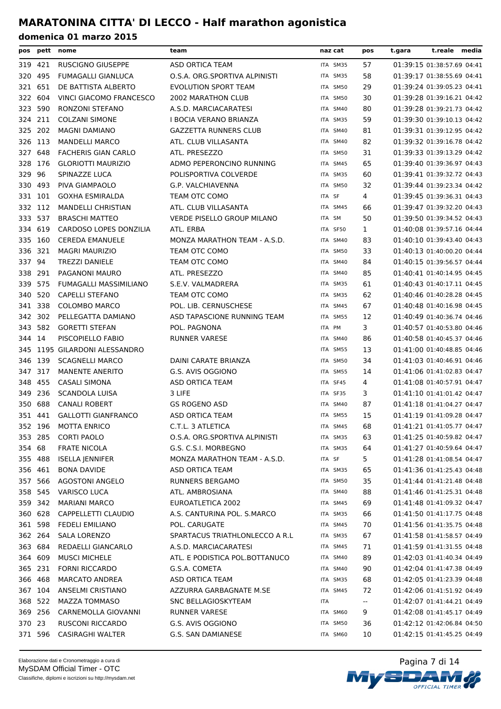| pos     |         | pett nome                     | team                            | naz cat  | pos                                           | t.gara | t.reale media              |  |
|---------|---------|-------------------------------|---------------------------------|----------|-----------------------------------------------|--------|----------------------------|--|
|         | 319 421 | RUSCIGNO GIUSEPPE             | ASD ORTICA TEAM                 | ITA SM35 | 57                                            |        | 01:39:15 01:38:57.69 04:41 |  |
| 320     | 495     | <b>FUMAGALLI GIANLUCA</b>     | O.S.A. ORG.SPORTIVA ALPINISTI   | ITA SM35 | 58                                            |        | 01:39:17 01:38:55.69 04:41 |  |
| 321     | 651     | DE BATTISTA ALBERTO           | <b>EVOLUTION SPORT TEAM</b>     | ITA SM50 | 29                                            |        | 01:39:24 01:39:05.23 04:41 |  |
| 322     | 604     | VINCI GIACOMO FRANCESCO       | <b>2002 MARATHON CLUB</b>       | ITA SM50 | 30                                            |        | 01:39:28 01:39:16.21 04:42 |  |
|         | 323 590 | RONZONI STEFANO               | A.S.D. MARCIACARATESI           | ITA SM40 | 80                                            |        | 01:39:28 01:39:21.73 04:42 |  |
| 324 211 |         | <b>COLZANI SIMONE</b>         | I BOCIA VERANO BRIANZA          | ITA SM35 | 59                                            |        | 01:39:30 01:39:10.13 04:42 |  |
| 325 202 |         | <b>MAGNI DAMIANO</b>          | <b>GAZZETTA RUNNERS CLUB</b>    | ITA SM40 | 81                                            |        | 01:39:31 01:39:12.95 04:42 |  |
| 326 113 |         | <b>MANDELLI MARCO</b>         | ATL. CLUB VILLASANTA            | ITA SM40 | 82                                            |        | 01:39:32 01:39:16.78 04:42 |  |
| 327 648 |         | <b>FACHERIS GIAN CARLO</b>    | ATL. PRESEZZO                   | ITA SM50 | 31                                            |        | 01:39:33 01:39:13.29 04:42 |  |
|         | 328 176 | <b>GLORIOTTI MAURIZIO</b>     | ADMO PEPERONCINO RUNNING        | ITA SM45 | 65                                            |        | 01:39:40 01:39:36.97 04:43 |  |
| 329     | 96      | SPINAZZE LUCA                 | POLISPORTIVA COLVERDE           | ITA SM35 | 60                                            |        | 01:39:41 01:39:32.72 04:43 |  |
| 330     | 493     | PIVA GIAMPAOLO                | G.P. VALCHIAVENNA               | ITA SM50 | 32                                            |        | 01:39:44 01:39:23.34 04:42 |  |
|         | 331 101 | <b>GOXHA ESMIRALDA</b>        | TEAM OTC COMO                   | ITA SF   | 4                                             |        | 01:39:45 01:39:36.31 04:43 |  |
| 332 112 |         | <b>MANDELLI CHRISTIAN</b>     | ATL. CLUB VILLASANTA            | ITA SM45 | 66                                            |        | 01:39:47 01:39:32.20 04:43 |  |
| 333     | 537     | <b>BRASCHI MATTEO</b>         | VERDE PISELLO GROUP MILANO      | ITA SM   | 50                                            |        | 01:39:50 01:39:34.52 04:43 |  |
| 334 619 |         | <b>CARDOSO LOPES DONZILIA</b> | ATL. ERBA                       | ITA SF50 | 1                                             |        | 01:40:08 01:39:57.16 04:44 |  |
| 335 160 |         | <b>CEREDA EMANUELE</b>        | MONZA MARATHON TEAM - A.S.D.    | ITA SM40 | 83                                            |        | 01:40:10 01:39:43.40 04:43 |  |
| 336     | 321     | <b>MAGRI MAURIZIO</b>         | TEAM OTC COMO                   | ITA SM50 | 33                                            |        | 01:40:13 01:40:00.20 04:44 |  |
| 337 94  |         | <b>TREZZI DANIELE</b>         | TEAM OTC COMO                   | ITA SM40 | 84                                            |        | 01:40:15 01:39:56.57 04:44 |  |
| 338 291 |         | PAGANONI MAURO                | ATL. PRESEZZO                   | ITA SM40 | 85                                            |        | 01:40:41 01:40:14.95 04:45 |  |
| 339 575 |         | FUMAGALLI MASSIMILIANO        | S.E.V. VALMADRERA               | ITA SM35 | 61                                            |        | 01:40:43 01:40:17.11 04:45 |  |
|         | 340 520 | <b>CAPELLI STEFANO</b>        | TEAM OTC COMO                   | ITA SM35 | 62                                            |        | 01:40:46 01:40:28.28 04:45 |  |
|         | 341 338 | <b>COLOMBO MARCO</b>          | POL. LIB. CERNUSCHESE           | ITA SM45 | 67                                            |        | 01:40:48 01:40:16.98 04:45 |  |
| 342     | 302     | PELLEGATTA DAMIANO            | ASD TAPASCIONE RUNNING TEAM     | ITA SM55 | 12                                            |        | 01:40:49 01:40:36.74 04:46 |  |
| 343     | 582     | <b>GORETTI STEFAN</b>         | POL. PAGNONA                    | ITA PM   | 3                                             |        | 01:40:57 01:40:53.80 04:46 |  |
| 344 14  |         | PISCOPIELLO FABIO             | <b>RUNNER VARESE</b>            | ITA SM40 | 86                                            |        | 01:40:58 01:40:45.37 04:46 |  |
| 345     |         | 1195 GILARDONI ALESSANDRO     |                                 | ITA SM55 | 13                                            |        | 01:41:00 01:40:48.85 04:46 |  |
|         | 346 139 | <b>SCAGNELLI MARCO</b>        | DAINI CARATE BRIANZA            | ITA SM50 | 34                                            |        | 01:41:03 01:40:46.91 04:46 |  |
| 347 317 |         | <b>MANENTE ANERITO</b>        | G.S. AVIS OGGIONO               | ITA SM55 | 14                                            |        | 01:41:06 01:41:02.83 04:47 |  |
| 348     | 455     | <b>CASALI SIMONA</b>          | ASD ORTICA TEAM                 | ITA SF45 | 4                                             |        | 01:41:08 01:40:57.91 04:47 |  |
| 349     | 236     | <b>SCANDOLA LUISA</b>         | 3 LIFE                          | ITA SF35 | 3                                             |        | 01:41:10 01:41:01.42 04:47 |  |
| 350     | 688     | <b>CANALI ROBERT</b>          | <b>GS ROGENO ASD</b>            | ITA SM40 | 87                                            |        | 01:41:18 01:41:04.27 04:47 |  |
| 351 441 |         | <b>GALLOTTI GIANFRANCO</b>    | ASD ORTICA TEAM                 | ITA SM55 | 15                                            |        | 01:41:19 01:41:09.28 04:47 |  |
|         | 352 196 | <b>MOTTA ENRICO</b>           | C.T.L. 3 ATLETICA               | ITA SM45 | 68                                            |        | 01:41:21 01:41:05.77 04:47 |  |
|         | 353 285 | <b>CORTI PAOLO</b>            | O.S.A. ORG.SPORTIVA ALPINISTI   | ITA SM35 | 63                                            |        | 01:41:25 01:40:59.82 04:47 |  |
| 354 68  |         | <b>FRATE NICOLA</b>           | G.S. C.S.I. MORBEGNO            | ITA SM35 | 64                                            |        | 01:41:27 01:40:59.64 04:47 |  |
|         | 355 488 | <b>ISELLA JENNIFER</b>        | MONZA MARATHON TEAM - A.S.D.    | ITA SF   | 5                                             |        | 01:41:28 01:41:08.54 04:47 |  |
| 356 461 |         | BONA DAVIDE                   | ASD ORTICA TEAM                 | ITA SM35 | 65                                            |        | 01:41:36 01:41:25.43 04:48 |  |
| 357 566 |         | <b>AGOSTONI ANGELO</b>        | <b>RUNNERS BERGAMO</b>          | ITA SM50 | 35                                            |        | 01:41:44 01:41:21.48 04:48 |  |
| 358 545 |         | <b>VARISCO LUCA</b>           | ATL. AMBROSIANA                 | ITA SM40 | 88                                            |        | 01:41:46 01:41:25.31 04:48 |  |
| 359 342 |         | <b>MARIANI MARCO</b>          | EUROATLETICA 2002               | ITA SM45 | 69                                            |        | 01:41:48 01:41:09.32 04:47 |  |
|         | 360 628 | CAPPELLETTI CLAUDIO           | A.S. CANTURINA POL. S.MARCO     | ITA SM35 | 66                                            |        | 01:41:50 01:41:17.75 04:48 |  |
|         | 361 598 | <b>FEDELI EMILIANO</b>        | POL. CARUGATE                   | ITA SM45 | 70                                            |        | 01:41:56 01:41:35.75 04:48 |  |
|         | 362 264 | SALA LORENZO                  | SPARTACUS TRIATHLONLECCO A R.L. | ITA SM35 | 67                                            |        | 01:41:58 01:41:58.57 04:49 |  |
|         | 363 684 | REDAELLI GIANCARLO            | A.S.D. MARCIACARATESI           | ITA SM45 | 71                                            |        | 01:41:59 01:41:31.55 04:48 |  |
|         | 364 609 | <b>MUSCI MICHELE</b>          | ATL. E PODISTICA POL.BOTTANUCO  | ITA SM40 | 89                                            |        | 01:42:03 01:41:40.34 04:49 |  |
|         | 365 231 | <b>FORNI RICCARDO</b>         | G.S.A. COMETA                   | ITA SM40 | 90                                            |        | 01:42:04 01:41:47.38 04:49 |  |
|         | 366 468 | <b>MARCATO ANDREA</b>         | ASD ORTICA TEAM                 | ITA SM35 | 68                                            |        | 01:42:05 01:41:23.39 04:48 |  |
|         | 367 104 | ANSELMI CRISTIANO             | AZZURRA GARBAGNATE M.SE         | ITA SM45 | 72                                            |        | 01:42:06 01:41:51.92 04:49 |  |
|         | 368 522 | <b>MAZZA TOMMASO</b>          | SNC BELLAGIOSKYTEAM             | ITA      | $\mathord{\hspace{1pt}\text{--}\hspace{1pt}}$ |        | 01:42:07 01:41:44.21 04:49 |  |
|         | 369 256 | CARNEMOLLA GIOVANNI           | <b>RUNNER VARESE</b>            | ITA SM60 | 9                                             |        | 01:42:08 01:41:45.17 04:49 |  |
| 370 23  |         | <b>RUSCONI RICCARDO</b>       | G.S. AVIS OGGIONO               | ITA SM50 | 36                                            |        | 01:42:12 01:42:06.84 04:50 |  |
|         | 371 596 | <b>CASIRAGHI WALTER</b>       | G.S. SAN DAMIANESE              | ITA SM60 | 10                                            |        | 01:42:15 01:41:45.25 04:49 |  |

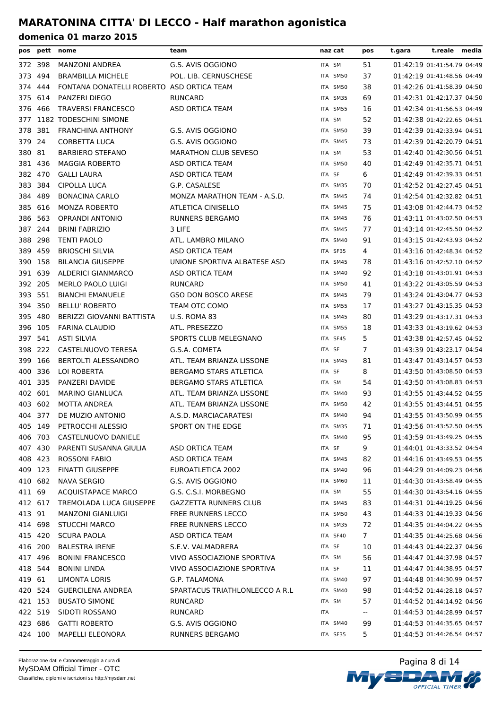| pos     |         | pett nome                                 | team                            | naz cat    | pos            | t.reale media<br>t.gara    |
|---------|---------|-------------------------------------------|---------------------------------|------------|----------------|----------------------------|
| 372 398 |         | <b>MANZONI ANDREA</b>                     | G.S. AVIS OGGIONO               | ITA SM     | 51             | 01:42:19 01:41:54.79 04:49 |
| 373     | 494     | <b>BRAMBILLA MICHELE</b>                  | POL. LIB. CERNUSCHESE           | ITA SM50   | 37             | 01:42:19 01:41:48.56 04:49 |
| 374     | 444     | FONTANA DONATELLI ROBERTO ASD ORTICA TEAM |                                 | ITA SM50   | 38             | 01:42:26 01:41:58.39 04:50 |
| 375     | 614     | <b>PANZERI DIEGO</b>                      | <b>RUNCARD</b>                  | ITA SM35   | 69             | 01:42:31 01:42:17.37 04:50 |
| 376     | 466     | <b>TRAVERSI FRANCESCO</b>                 | <b>ASD ORTICA TEAM</b>          | ITA SM55   | 16             | 01:42:34 01:41:56.53 04:49 |
| 377     |         | 1182 TODESCHINI SIMONE                    |                                 | ITA SM     | 52             | 01:42:38 01:42:22.65 04:51 |
| 378     | 381     | <b>FRANCHINA ANTHONY</b>                  | G.S. AVIS OGGIONO               | ITA SM50   | 39             | 01:42:39 01:42:33.94 04:51 |
| 379 24  |         | <b>CORBETTA LUCA</b>                      | G.S. AVIS OGGIONO               | ITA SM45   | 73             | 01:42:39 01:42:20.79 04:51 |
| 380 81  |         | <b>BARBIERO STEFANO</b>                   | <b>MARATHON CLUB SEVESO</b>     | ITA SM     | 53             | 01:42:40 01:42:30.56 04:51 |
| 381 436 |         | <b>MAGGIA ROBERTO</b>                     | ASD ORTICA TEAM                 | ITA SM50   | 40             | 01:42:49 01:42:35.71 04:51 |
| 382 470 |         | <b>GALLI LAURA</b>                        | ASD ORTICA TEAM                 | ITA SF     | 6              | 01:42:49 01:42:39.33 04:51 |
| 383 384 |         | CIPOLLA LUCA                              | G.P. CASALESE                   | ITA SM35   | 70             | 01:42:52 01:42:27.45 04:51 |
| 384     | 489     | <b>BONACINA CARLO</b>                     | MONZA MARATHON TEAM - A.S.D.    | ITA SM45   | 74             | 01:42:54 01:42:32.82 04:51 |
| 385     | 616     | <b>MONZA ROBERTO</b>                      | <b>ATLETICA CINISELLO</b>       | ITA SM45   | 75             | 01:43:08 01:42:44.73 04:52 |
| 386     | 563     | <b>OPRANDI ANTONIO</b>                    | <b>RUNNERS BERGAMO</b>          | ITA SM45   | 76             | 01:43:11 01:43:02.50 04:53 |
| 387 244 |         | <b>BRINI FABRIZIO</b>                     | 3 LIFE                          | ITA SM45   | 77             | 01:43:14 01:42:45.50 04:52 |
| 388     | - 298   | <b>TENTI PAOLO</b>                        | ATL. LAMBRO MILANO              | ITA SM40   | 91             | 01:43:15 01:42:43.93 04:52 |
| 389     | 459     | <b>BRIOSCHI SILVIA</b>                    | <b>ASD ORTICA TEAM</b>          | ITA SF35   | 4              | 01:43:16 01:42:48.34 04:52 |
| 390     | 158     | <b>BILANCIA GIUSEPPE</b>                  | UNIONE SPORTIVA ALBATESE ASD    | ITA SM45   | 78             | 01:43:16 01:42:52.10 04:52 |
| 391     | 639     | <b>ALDERICI GIANMARCO</b>                 | ASD ORTICA TEAM                 | ITA SM40   | 92             | 01:43:18 01:43:01.91 04:53 |
| 392 205 |         | <b>MERLO PAOLO LUIGI</b>                  | <b>RUNCARD</b>                  | ITA SM50   | 41             | 01:43:22 01:43:05.59 04:53 |
| 393 551 |         | <b>BIANCHI EMANUELE</b>                   | GSO DON BOSCO ARESE             | ITA SM45   | 79             | 01:43:24 01:43:04.77 04:53 |
| 394 350 |         | <b>BELLU' ROBERTO</b>                     | TEAM OTC COMO                   | ITA SM55   | 17             | 01:43:27 01:43:15.35 04:53 |
| 395     | 480     | BERIZZI GIOVANNI BATTISTA                 | U.S. ROMA 83                    | ITA SM45   | 80             | 01:43:29 01:43:17.31 04:53 |
| 396 105 |         | <b>FARINA CLAUDIO</b>                     | ATL. PRESEZZO                   | ITA SM55   | 18             | 01:43:33 01:43:19.62 04:53 |
| 397     | 541     | <b>ASTI SILVIA</b>                        | SPORTS CLUB MELEGNANO           | ITA SF45   | 5              | 01:43:38 01:42:57.45 04:52 |
| 398     | 222     | CASTELNUOVO TERESA                        | G.S.A. COMETA                   | ITA SF     | $\overline{7}$ | 01:43:39 01:43:23.17 04:54 |
| 399     | 166     | BERTOLTI ALESSANDRO                       | ATL. TEAM BRIANZA LISSONE       | ITA SM45   | 81             | 01:43:47 01:43:14.57 04:53 |
| 400 336 |         | LOI ROBERTA                               | <b>BERGAMO STARS ATLETICA</b>   | ITA SF     | 8              | 01:43:50 01:43:08.50 04:53 |
| 401 335 |         | PANZERI DAVIDE                            | BERGAMO STARS ATLETICA          | ITA SM     | 54             | 01:43:50 01:43:08.83 04:53 |
| 402 601 |         | <b>MARINO GIANLUCA</b>                    | ATL. TEAM BRIANZA LISSONE       | ITA SM40   | 93             | 01:43:55 01:43:44.52 04:55 |
| 403 602 |         | MOTTA ANDREA                              | ATL. TEAM BRIANZA LISSONE       | ITA SM50   | 42             | 01:43:55 01:43:44.51 04:55 |
|         | 404 377 | DE MUZIO ANTONIO                          | A.S.D. MARCIACARATESI           | ITA SM40   | 94             | 01:43:55 01:43:50.99 04:55 |
| 405     | 149     | PETROCCHI ALESSIO                         | SPORT ON THE EDGE               | ITA SM35   | 71             | 01:43:56 01:43:52.50 04:55 |
| 406 703 |         | CASTELNUOVO DANIELE                       |                                 | ITA SM40   | 95             | 01:43:59 01:43:49.25 04:55 |
|         | 407 430 | PARENTI SUSANNA GIULIA                    | ASD ORTICA TEAM                 | ITA SF     | 9              | 01:44:01 01:43:33.52 04:54 |
|         | 408 423 | ROSSONI FABIO                             | ASD ORTICA TEAM                 | ITA SM45   | 82             | 01:44:16 01:43:49.53 04:55 |
| 409 123 |         | <b>FINATTI GIUSEPPE</b>                   | EUROATLETICA 2002               | ITA SM40   | 96             | 01:44:29 01:44:09.23 04:56 |
| 410 682 |         | <b>NAVA SERGIO</b>                        | G.S. AVIS OGGIONO               | ITA SM60   | 11             | 01:44:30 01:43:58.49 04:55 |
| 411 69  |         | <b>ACQUISTAPACE MARCO</b>                 | G.S. C.S.I. MORBEGNO            | ITA SM     | 55             | 01:44:30 01:43:54.16 04:55 |
| 412 617 |         | TREMOLADA LUCA GIUSEPPE                   | <b>GAZZETTA RUNNERS CLUB</b>    | ITA SM45   | 83             | 01:44:31 01:44:19.25 04:56 |
| 413 91  |         | <b>MANZONI GIANLUIGI</b>                  | <b>FREE RUNNERS LECCO</b>       | ITA SM50   | 43             | 01:44:33 01:44:19.33 04:56 |
|         | 414 698 | <b>STUCCHI MARCO</b>                      | <b>FREE RUNNERS LECCO</b>       | ITA SM35   | 72             | 01:44:35 01:44:04.22 04:55 |
|         | 415 420 | <b>SCURA PAOLA</b>                        | ASD ORTICA TEAM                 | ITA SF40   | 7              | 01:44:35 01:44:25.68 04:56 |
| 416 200 |         | <b>BALESTRA IRENE</b>                     | S.E.V. VALMADRERA               | ITA SF     | 10             | 01:44:43 01:44:22.37 04:56 |
| 417 496 |         | <b>BONINI FRANCESCO</b>                   | VIVO ASSOCIAZIONE SPORTIVA      | ITA SM     | 56             | 01:44:47 01:44:37.98 04:57 |
|         | 418 544 | <b>BONINI LINDA</b>                       | VIVO ASSOCIAZIONE SPORTIVA      | ITA SF     | 11             | 01:44:47 01:44:38.95 04:57 |
| 419 61  |         | LIMONTA LORIS                             | G.P. TALAMONA                   | ITA SM40   | 97             | 01:44:48 01:44:30.99 04:57 |
|         | 420 524 | <b>GUERCILENA ANDREA</b>                  | SPARTACUS TRIATHLONLECCO A R.L. | ITA SM40   | 98             | 01:44:52 01:44:28.18 04:57 |
|         | 421 153 | <b>BUSATO SIMONE</b>                      | <b>RUNCARD</b>                  | ITA SM     | 57             | 01:44:52 01:44:14.92 04:56 |
| 422 519 |         | SIDOTI ROSSANO                            | RUNCARD                         | <b>ITA</b> | --             | 01:44:53 01:44:28.99 04:57 |
| 423 686 |         | <b>GATTI ROBERTO</b>                      | G.S. AVIS OGGIONO               | ITA SM40   | 99             | 01:44:53 01:44:35.65 04:57 |
|         | 424 100 | MAPELLI ELEONORA                          | RUNNERS BERGAMO                 | ITA SF35   | 5.             | 01:44:53 01:44:26.54 04:57 |
|         |         |                                           |                                 |            |                |                            |



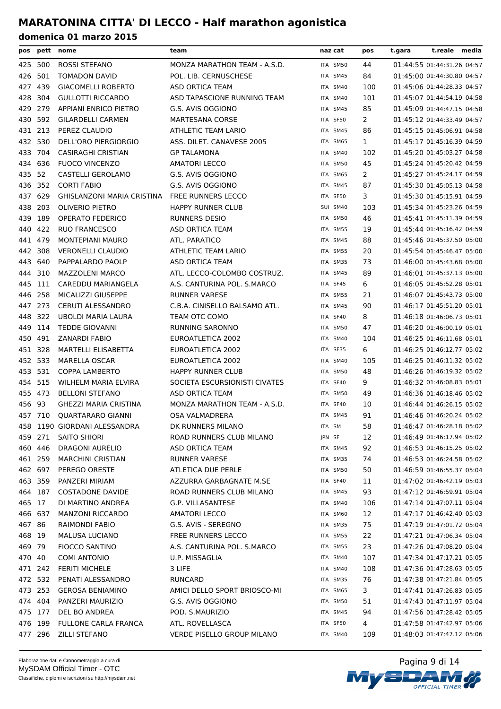|         |         | pos pett nome                | team                          | naz cat  | pos | t.gara | t.reale media              |  |
|---------|---------|------------------------------|-------------------------------|----------|-----|--------|----------------------------|--|
|         | 425 500 | ROSSI STEFANO                | MONZA MARATHON TEAM - A.S.D.  | ITA SM50 | 44  |        | 01:44:55 01:44:31.26 04:57 |  |
| 426     | 501     | <b>TOMADON DAVID</b>         | POL. LIB. CERNUSCHESE         | ITA SM45 | 84  |        | 01:45:00 01:44:30.80 04:57 |  |
| 427     | 439     | <b>GIACOMELLI ROBERTO</b>    | ASD ORTICA TEAM               | ITA SM40 | 100 |        | 01:45:06 01:44:28.33 04:57 |  |
| 428     | -304    | <b>GULLOTTI RICCARDO</b>     | ASD TAPASCIONE RUNNING TEAM   | ITA SM40 | 101 |        | 01:45:07 01:44:54.19 04:58 |  |
|         | 429 279 | <b>APPIANI ENRICO PIETRO</b> | G.S. AVIS OGGIONO             | ITA SM45 | 85  |        | 01:45:09 01:44:47.15 04:58 |  |
| 430     | 592     | <b>GILARDELLI CARMEN</b>     | <b>MARTESANA CORSE</b>        | ITA SF50 | 2   |        | 01:45:12 01:44:33.49 04:57 |  |
| 431 213 |         | PEREZ CLAUDIO                | ATHLETIC TEAM LARIO           | ITA SM45 | 86  |        | 01:45:15 01:45:06.91 04:58 |  |
| 432 530 |         | DELL'ORO PIERGIORGIO         | ASS. DILET. CANAVESE 2005     | ITA SM65 | 1   |        | 01:45:17 01:45:16.39 04:59 |  |
| 433 704 |         | <b>CASIRAGHI CRISTIAN</b>    | <b>GP TALAMONA</b>            | ITA SM40 | 102 |        | 01:45:20 01:45:03.27 04:58 |  |
|         | 434 636 | <b>FUOCO VINCENZO</b>        | <b>AMATORI LECCO</b>          | ITA SM50 | 45  |        | 01:45:24 01:45:20.42 04:59 |  |
| 435 52  |         | CASTELLI GEROLAMO            | G.S. AVIS OGGIONO             | ITA SM65 | 2   |        | 01:45:27 01:45:24.17 04:59 |  |
|         | 436 352 | <b>CORTI FABIO</b>           | G.S. AVIS OGGIONO             | ITA SM45 | 87  |        | 01:45:30 01:45:05.13 04:58 |  |
| 437     | 629     | GHISLANZONI MARIA CRISTINA   | <b>FREE RUNNERS LECCO</b>     | ITA SF50 | 3   |        | 01:45:30 01:45:15.91 04:59 |  |
| 438     | 203     | <b>OLIVERIO PIETRO</b>       | <b>HAPPY RUNNER CLUB</b>      | SUI SM40 | 103 |        | 01:45:34 01:45:23.26 04:59 |  |
| 439     | 189     | OPERATO FEDERICO             | <b>RUNNERS DESIO</b>          | ITA SM50 | 46  |        | 01:45:41 01:45:11.39 04:59 |  |
| 440     | 422     | <b>RUO FRANCESCO</b>         | ASD ORTICA TEAM               | ITA SM55 | 19  |        | 01:45:44 01:45:16.42 04:59 |  |
| 441 479 |         | <b>MONTEPIANI MAURO</b>      | ATL. PARATICO                 | ITA SM45 | 88  |        | 01:45:46 01:45:37.50 05:00 |  |
| 442     | 308     | <b>VERONELLI CLAUDIO</b>     | ATHLETIC TEAM LARIO           | ITA SM55 | 20  |        | 01:45:54 01:45:46.47 05:00 |  |
| 443     | 640     | PAPPALARDO PAOLP             | ASD ORTICA TEAM               | ITA SM35 | 73  |        | 01:46:00 01:45:43.68 05:00 |  |
| 444     | 310     | <b>MAZZOLENI MARCO</b>       | ATL. LECCO-COLOMBO COSTRUZ.   | ITA SM45 | 89  |        | 01:46:01 01:45:37.13 05:00 |  |
| 445 111 |         | CAREDDU MARIANGELA           | A.S. CANTURINA POL. S.MARCO   | ITA SF45 | 6   |        | 01:46:05 01:45:52.28 05:01 |  |
|         | 446 258 | MICALIZZI GIUSEPPE           | <b>RUNNER VARESE</b>          | ITA SM55 | 21  |        | 01:46:07 01:45:43.73 05:00 |  |
|         | 447 273 | <b>CERUTI ALESSANDRO</b>     | C.B.A. CINISELLO BALSAMO ATL. | ITA SM45 | 90  |        | 01:46:17 01:45:51.20 05:01 |  |
| 448 322 |         | UBOLDI MARIA LAURA           | TEAM OTC COMO                 | ITA SF40 | 8   |        | 01:46:18 01:46:06.73 05:01 |  |
|         | 449 114 | <b>TEDDE GIOVANNI</b>        | <b>RUNNING SARONNO</b>        | ITA SM50 | 47  |        | 01:46:20 01:46:00.19 05:01 |  |
| 450     | 491     | <b>ZANARDI FABIO</b>         | EUROATLETICA 2002             | ITA SM40 | 104 |        | 01:46:25 01:46:11.68 05:01 |  |
| 451 328 |         | MARTELLI ELISABETTA          | EUROATLETICA 2002             | ITA SF35 | 6   |        | 01:46:25 01:46:12.77 05:02 |  |
| 452 533 |         | <b>MARELLA OSCAR</b>         | EUROATLETICA 2002             | ITA SM40 | 105 |        | 01:46:25 01:46:11.32 05:02 |  |
| 453 531 |         | <b>COPPA LAMBERTO</b>        | <b>HAPPY RUNNER CLUB</b>      | ITA SM50 | 48  |        | 01:46:26 01:46:19.32 05:02 |  |
| 454 515 |         | WILHELM MARIA ELVIRA         | SOCIETA ESCURSIONISTI CIVATES | ITA SF40 | 9   |        | 01:46:32 01:46:08.83 05:01 |  |
| 455 473 |         | <b>BELLONI STEFANO</b>       | ASD ORTICA TEAM               | ITA SM50 | 49  |        | 01:46:36 01:46:18.46 05:02 |  |
| 456 93  |         | <b>GHEZZI MARIA CRISTINA</b> | MONZA MARATHON TEAM - A.S.D.  | ITA SF40 | 10  |        | 01:46:44 01:46:26.15 05:02 |  |
|         | 457 710 | <b>QUARTARARO GIANNI</b>     | <b>OSA VALMADRERA</b>         | ITA SM45 | 91  |        | 01:46:46 01:46:20.24 05:02 |  |
| 458     |         | 1190 GIORDANI ALESSANDRA     | DK RUNNERS MILANO             | ITA SM   | 58  |        | 01:46:47 01:46:28.18 05:02 |  |
|         | 459 271 | <b>SAITO SHIORI</b>          | ROAD RUNNERS CLUB MILANO      | JPN SF   | 12  |        | 01:46:49 01:46:17.94 05:02 |  |
|         | 460 446 | <b>DRAGONI AURELIO</b>       | ASD ORTICA TEAM               | ITA SM45 | 92  |        | 01:46:53 01:46:15.25 05:02 |  |
|         | 461 259 | <b>MARCHINI CRISTIAN</b>     | <b>RUNNER VARESE</b>          | ITA SM35 | 74  |        | 01:46:53 01:46:24.58 05:02 |  |
| 462 697 |         | PEREGO ORESTE                | ATLETICA DUE PERLE            | ITA SM50 | 50  |        | 01:46:59 01:46:55.37 05:04 |  |
|         | 463 359 | PANZERI MIRIAM               | AZZURRA GARBAGNATE M.SE       | ITA SF40 | 11  |        | 01:47:02 01:46:42.19 05:03 |  |
|         | 464 187 | <b>COSTADONE DAVIDE</b>      | ROAD RUNNERS CLUB MILANO      | ITA SM45 | 93  |        | 01:47:12 01:46:59.91 05:04 |  |
| 465 17  |         | DI MARTINO ANDREA            | G.P. VILLASANTESE             | ITA SM40 | 106 |        | 01:47:14 01:47:07.11 05:04 |  |
|         | 466 637 | <b>MANZONI RICCARDO</b>      | <b>AMATORI LECCO</b>          | ITA SM60 | 12  |        | 01:47:17 01:46:42.40 05:03 |  |
| 467 86  |         | <b>RAIMONDI FABIO</b>        | G.S. AVIS - SEREGNO           | ITA SM35 | 75  |        | 01:47:19 01:47:01.72 05:04 |  |
| 468 19  |         | MALUSA LUCIANO               | FREE RUNNERS LECCO            | ITA SM55 | 22  |        | 01:47:21 01:47:06.34 05:04 |  |
| 469 79  |         | <b>FIOCCO SANTINO</b>        | A.S. CANTURINA POL. S.MARCO   | ITA SM55 | 23  |        | 01:47:26 01:47:08.20 05:04 |  |
| 470 40  |         | <b>COMI ANTONIO</b>          | U.P. MISSAGLIA                | ITA SM40 | 107 |        | 01:47:34 01:47:17.21 05:05 |  |
|         | 471 242 | <b>FERITI MICHELE</b>        | 3 LIFE                        | ITA SM40 | 108 |        | 01:47:36 01:47:28.63 05:05 |  |
|         | 472 532 | PENATI ALESSANDRO            | RUNCARD                       | ITA SM35 | 76  |        | 01:47:38 01:47:21.84 05:05 |  |
|         | 473 253 | <b>GEROSA BENIAMINO</b>      | AMICI DELLO SPORT BRIOSCO-MI  | ITA SM65 | 3   |        | 01:47:41 01:47:26.83 05:05 |  |
|         | 474 404 | PANZERI MAURIZIO             | G.S. AVIS OGGIONO             | ITA SM50 | 51  |        | 01:47:43 01:47:11.97 05:04 |  |
|         | 475 177 | DEL BO ANDREA                | POD. S.MAURIZIO               | ITA SM45 | 94  |        | 01:47:56 01:47:28.42 05:05 |  |
|         | 476 199 | <b>FULLONE CARLA FRANCA</b>  | ATL. ROVELLASCA               | ITA SF50 | 4   |        | 01:47:58 01:47:42.97 05:06 |  |
|         | 477 296 | ZILLI STEFANO                | VERDE PISELLO GROUP MILANO    | ITA SM40 | 109 |        | 01:48:03 01:47:47.12 05:06 |  |

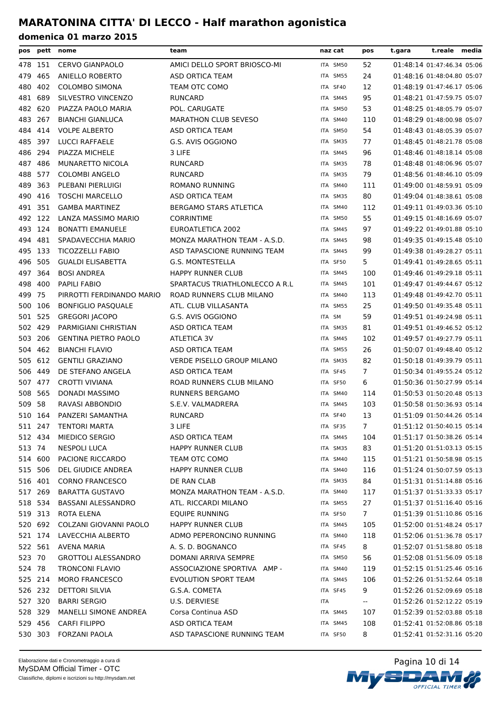| pos     |         | pett nome                   | team                              | naz cat  | pos                      | t.gara | t.reale media              |  |
|---------|---------|-----------------------------|-----------------------------------|----------|--------------------------|--------|----------------------------|--|
|         | 478 151 | <b>CERVO GIANPAOLO</b>      | AMICI DELLO SPORT BRIOSCO-MI      | ITA SM50 | 52                       |        | 01:48:14 01:47:46.34 05:06 |  |
| 479     | 465     | ANIELLO ROBERTO             | ASD ORTICA TEAM                   | ITA SM55 | 24                       |        | 01:48:16 01:48:04.80 05:07 |  |
| 480     | 402     | <b>COLOMBO SIMONA</b>       | TEAM OTC COMO                     | ITA SF40 | 12                       |        | 01:48:19 01:47:46.17 05:06 |  |
| 481     | 689     | SILVESTRO VINCENZO          | <b>RUNCARD</b>                    | ITA SM45 | 95                       |        | 01:48:21 01:47:59.75 05:07 |  |
|         | 482 620 | PIAZZA PAOLO MARIA          | POL. CARUGATE                     | ITA SM50 | 53                       |        | 01:48:25 01:48:05.79 05:07 |  |
| 483     | 267     | <b>BIANCHI GIANLUCA</b>     | <b>MARATHON CLUB SEVESO</b>       | ITA SM40 | 110                      |        | 01:48:29 01:48:00.98 05:07 |  |
| 484     | 414     | <b>VOLPE ALBERTO</b>        | ASD ORTICA TEAM                   | ITA SM50 | 54                       |        | 01:48:43 01:48:05.39 05:07 |  |
| 485     | 397     | LUCCI RAFFAELE              | G.S. AVIS OGGIONO                 | ITA SM35 | 77                       |        | 01:48:45 01:48:21.78 05:08 |  |
|         | 486 294 | PIAZZA MICHELE              | 3 LIFE                            | ITA SM45 | 96                       |        | 01:48:46 01:48:18.14 05:08 |  |
|         | 487 486 | <b>MUNARETTO NICOLA</b>     | <b>RUNCARD</b>                    | ITA SM35 | 78                       |        | 01:48:48 01:48:06.96 05:07 |  |
|         | 488 577 | <b>COLOMBI ANGELO</b>       | <b>RUNCARD</b>                    | ITA SM35 | 79                       |        | 01:48:56 01:48:46.10 05:09 |  |
| 489     | 363     | PLEBANI PIERLUIGI           | ROMANO RUNNING                    | ITA SM40 | 111                      |        | 01:49:00 01:48:59.91 05:09 |  |
| 490     | 416     | <b>TOSCHI MARCELLO</b>      | ASD ORTICA TEAM                   | ITA SM35 | 80                       |        | 01:49:04 01:48:38.61 05:08 |  |
| 491     | 351     | <b>GAMBA MARTINEZ</b>       | <b>BERGAMO STARS ATLETICA</b>     | ITA SM40 | 112                      |        | 01:49:11 01:49:03.36 05:10 |  |
| 492 122 |         | LANZA MASSIMO MARIO         | <b>CORRINTIME</b>                 | ITA SM50 | 55                       |        | 01:49:15 01:48:16.69 05:07 |  |
|         | 493 124 | <b>BONATTI EMANUELE</b>     | EUROATLETICA 2002                 | ITA SM45 | 97                       |        | 01:49:22 01:49:01.88 05:10 |  |
| 494     | 481     | SPADAVECCHIA MARIO          | MONZA MARATHON TEAM - A.S.D.      | ITA SM45 | 98                       |        | 01:49:35 01:49:15.48 05:10 |  |
| 495     | 133     | <b>TICOZZELLI FABIO</b>     | ASD TAPASCIONE RUNNING TEAM       | ITA SM45 | 99                       |        | 01:49:38 01:49:28.27 05:11 |  |
| 496     | 505     | <b>GUALDI ELISABETTA</b>    | G.S. MONTESTELLA                  | ITA SF50 | 5                        |        | 01:49:41 01:49:28.65 05:11 |  |
|         | 497 364 | <b>BOSI ANDREA</b>          | <b>HAPPY RUNNER CLUB</b>          | ITA SM45 | 100                      |        | 01:49:46 01:49:29.18 05:11 |  |
|         | 498 400 | <b>PAPILI FABIO</b>         | SPARTACUS TRIATHLONLECCO A R.L.   | ITA SM45 | 101                      |        | 01:49:47 01:49:44.67 05:12 |  |
| 499 75  |         | PIRROTTI FERDINANDO MARIO   | ROAD RUNNERS CLUB MILANO          | ITA SM40 | 113                      |        | 01:49:48 01:49:42.70 05:11 |  |
|         | 500 106 | <b>BONFIGLIO PASQUALE</b>   | ATL. CLUB VILLASANTA              | ITA SM55 | 25                       |        | 01:49:50 01:49:35.48 05:11 |  |
| 501     | 525     | <b>GREGORI JACOPO</b>       | G.S. AVIS OGGIONO                 | ITA SM   | 59                       |        | 01:49:51 01:49:24.98 05:11 |  |
| 502     | 429     | PARMIGIANI CHRISTIAN        | ASD ORTICA TEAM                   | ITA SM35 | 81                       |        | 01:49:51 01:49:46.52 05:12 |  |
| 503     | 206     | <b>GENTINA PIETRO PAOLO</b> | <b>ATLETICA 3V</b>                | ITA SM45 | 102                      |        | 01:49:57 01:49:27.79 05:11 |  |
| 504     | 462     | <b>BIANCHI FLAVIO</b>       | ASD ORTICA TEAM                   | ITA SM55 | 26                       |        | 01:50:07 01:49:48.40 05:12 |  |
| 505     | 612     | <b>GENTILI GRAZIANO</b>     | <b>VERDE PISELLO GROUP MILANO</b> | ITA SM35 | 82                       |        | 01:50:18 01:49:39.79 05:11 |  |
| 506     | 449     | DE STEFANO ANGELA           | <b>ASD ORTICA TEAM</b>            | ITA SF45 | 7                        |        | 01:50:34 01:49:55.24 05:12 |  |
| 507     | 477     | <b>CROTTI VIVIANA</b>       | ROAD RUNNERS CLUB MILANO          | ITA SF50 | 6                        |        | 01:50:36 01:50:27.99 05:14 |  |
| 508     | 565     | DONADI MASSIMO              | <b>RUNNERS BERGAMO</b>            | ITA SM40 | 114                      |        | 01:50:53 01:50:20.48 05:13 |  |
| 509     | - 58    | RAVASI ABBONDIO             | S.E.V. VALMADRERA                 | ITA SM45 | 103                      |        | 01:50:58 01:50:36.93 05:14 |  |
|         | 510 164 | PANZERI SAMANTHA            | <b>RUNCARD</b>                    | ITA SF40 | 13                       |        | 01:51:09 01:50:44.26 05:14 |  |
|         | 511 247 | <b>TENTORI MARTA</b>        | 3 LIFE                            | ITA SF35 | 7                        |        | 01:51:12 01:50:40.15 05:14 |  |
|         | 512 434 | MIEDICO SERGIO              | ASD ORTICA TEAM                   | ITA SM45 | 104                      |        | 01:51:17 01:50:38.26 05:14 |  |
| 513 74  |         | <b>NESPOLI LUCA</b>         | <b>HAPPY RUNNER CLUB</b>          | ITA SM35 | 83                       |        | 01:51:20 01:51:03.13 05:15 |  |
|         | 514 600 | PACIONE RICCARDO            | TEAM OTC COMO                     | ITA SM40 | 115                      |        | 01:51:21 01:50:58.98 05:15 |  |
|         | 515 506 | DEL GIUDICE ANDREA          | <b>HAPPY RUNNER CLUB</b>          | ITA SM40 | 116                      |        | 01:51:24 01:50:07.59 05:13 |  |
|         | 516 401 | <b>CORNO FRANCESCO</b>      | DE RAN CLAB                       | ITA SM35 | 84                       |        | 01:51:31 01:51:14.88 05:16 |  |
|         | 517 269 | <b>BARATTA GUSTAVO</b>      | MONZA MARATHON TEAM - A.S.D.      | ITA SM40 | 117                      |        | 01:51:37 01:51:33.33 05:17 |  |
|         | 518 534 | BASSANI ALESSANDRO          | ATL. RICCARDI MILANO              | ITA SM55 | 27                       |        | 01:51:37 01:51:16.40 05:16 |  |
|         | 519 313 | ROTA ELENA                  | <b>EQUIPE RUNNING</b>             | ITA SF50 | 7                        |        | 01:51:39 01:51:10.86 05:16 |  |
|         | 520 692 | COLZANI GIOVANNI PAOLO      | <b>HAPPY RUNNER CLUB</b>          | ITA SM45 | 105                      |        | 01:52:00 01:51:48.24 05:17 |  |
|         | 521 174 | LAVECCHIA ALBERTO           | ADMO PEPERONCINO RUNNING          | ITA SM40 | 118                      |        | 01:52:06 01:51:36.78 05:17 |  |
|         | 522 561 | AVENA MARIA                 | A. S. D. BOGNANCO                 | ITA SF45 | 8                        |        | 01:52:07 01:51:58.80 05:18 |  |
| 523 70  |         | <b>GROTTOLI ALESSANDRO</b>  | DOMANI ARRIVA SEMPRE              | ITA SM50 | 56                       |        | 01:52:08 01:51:56.09 05:18 |  |
| 524 78  |         | TRONCONI FLAVIO             | ASSOCIAZIONE SPORTIVA AMP -       | ITA SM40 | 119                      |        | 01:52:15 01:51:25.46 05:16 |  |
|         | 525 214 | <b>MORO FRANCESCO</b>       | EVOLUTION SPORT TEAM              | ITA SM45 | 106                      |        | 01:52:26 01:51:52.64 05:18 |  |
|         | 526 232 | <b>DETTORI SILVIA</b>       | G.S.A. COMETA                     | ITA SF45 | 9                        |        | 01:52:26 01:52:09.69 05:18 |  |
|         | 527 320 | <b>BARRI SERGIO</b>         | U.S. DERVIESE                     | ITA      | $\overline{\phantom{a}}$ |        | 01:52:26 01:52:12.22 05:19 |  |
|         | 528 329 | MANELLI SIMONE ANDREA       | Corsa Continua ASD                | ITA SM45 | 107                      |        | 01:52:39 01:52:03.88 05:18 |  |
|         | 529 456 | <b>CARFI FILIPPO</b>        | ASD ORTICA TEAM                   | ITA SM45 | 108                      |        | 01:52:41 01:52:08.86 05:18 |  |
|         | 530 303 | <b>FORZANI PAOLA</b>        | ASD TAPASCIONE RUNNING TEAM       | ITA SF50 | 8                        |        | 01:52:41 01:52:31.16 05:20 |  |

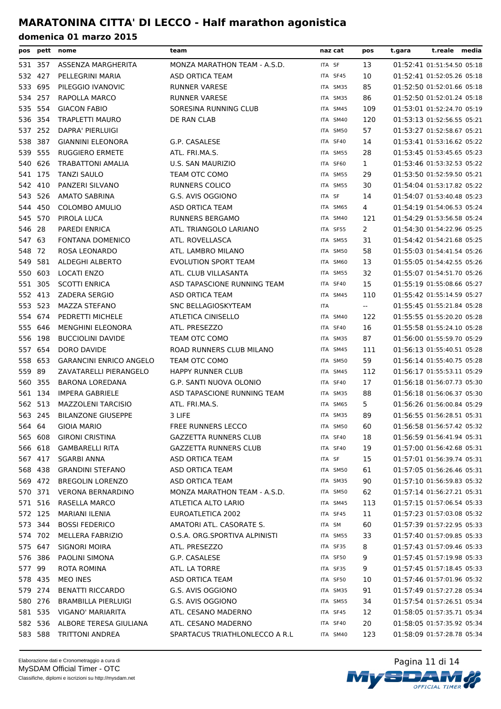| pos     |         | pett nome                      | team                           | naz cat    | pos                                           | t.reale media<br>t.gara    |
|---------|---------|--------------------------------|--------------------------------|------------|-----------------------------------------------|----------------------------|
|         | 531 357 | ASSENZA MARGHERITA             | MONZA MARATHON TEAM - A.S.D.   | ITA SF     | 13                                            | 01:52:41 01:51:54.50 05:18 |
|         | 532 427 | PELLEGRINI MARIA               | ASD ORTICA TEAM                | ITA SF45   | 10                                            | 01:52:41 01:52:05.26 05:18 |
| 533     | 695     | PILEGGIO IVANOVIC              | <b>RUNNER VARESE</b>           | ITA SM35   | 85                                            | 01:52:50 01:52:01.66 05:18 |
| 534 257 |         | RAPOLLA MARCO                  | <b>RUNNER VARESE</b>           | ITA SM35   | 86                                            | 01:52:50 01:52:01.24 05:18 |
|         | 535 554 | <b>GIACON FABIO</b>            | SORESINA RUNNING CLUB          | ITA SM45   | 109                                           | 01:53:01 01:52:24.70 05:19 |
|         | 536 354 | TRAPLETTI MAURO                | DE RAN CLAB                    | ITA SM40   | 120                                           | 01:53:13 01:52:56.55 05:21 |
| 537 252 |         | DAPRA' PIERLUIGI               |                                | ITA SM50   | 57                                            | 01:53:27 01:52:58.67 05:21 |
| 538     | -387    | <b>GIANNINI ELEONORA</b>       | G.P. CASALESE                  | ITA SF40   | 14                                            | 01:53:41 01:53:16.62 05:22 |
| 539 555 |         | <b>RUGGIERO ERMETE</b>         | ATL. FRI.MA.S.                 | ITA SM55   | 28                                            | 01:53:45 01:53:45.65 05:23 |
| 540 626 |         | <b>TRABATTONI AMALIA</b>       | U.S. SAN MAURIZIO              | ITA SF60   | $\mathbf{1}$                                  | 01:53:46 01:53:32.53 05:22 |
| 541 175 |         | <b>TANZI SAULO</b>             | TEAM OTC COMO                  | ITA SM55   | 29                                            | 01:53:50 01:52:59.50 05:21 |
| 542 410 |         | PANZERI SILVANO                | <b>RUNNERS COLICO</b>          | ITA SM55   | 30                                            | 01:54:04 01:53:17.82 05:22 |
| 543     | 526     | <b>AMATO SABRINA</b>           | G.S. AVIS OGGIONO              | ITA SF     | 14                                            | 01:54:07 01:53:40.48 05:23 |
|         | 544 450 | COLOMBO AMULIO                 | ASD ORTICA TEAM                | ITA SM65   | 4                                             | 01:54:19 01:54:06.53 05:24 |
| 545     | 570     | PIROLA LUCA                    | <b>RUNNERS BERGAMO</b>         | ITA SM40   | 121                                           | 01:54:29 01:53:56.58 05:24 |
| 546 28  |         | PAREDI ENRICA                  | ATL. TRIANGOLO LARIANO         | ITA SF55   | 2                                             | 01:54:30 01:54:22.96 05:25 |
| 547 63  |         | FONTANA DOMENICO               | ATL. ROVELLASCA                | ITA SM55   | 31                                            | 01:54:42 01:54:21.68 05:25 |
| 548 72  |         | ROSA LEONARDO                  | ATL. LAMBRO MILANO             | ITA SM50   | 58                                            | 01:55:03 01:54:41.54 05:26 |
| 549     | 581     | <b>ALDEGHI ALBERTO</b>         | <b>EVOLUTION SPORT TEAM</b>    | ITA SM60   | 13                                            | 01:55:05 01:54:42.55 05:26 |
| 550     | 603     | <b>LOCATI ENZO</b>             | ATL. CLUB VILLASANTA           | ITA SM55   | 32                                            | 01:55:07 01:54:51.70 05:26 |
| 551 305 |         | <b>SCOTTI ENRICA</b>           | ASD TAPASCIONE RUNNING TEAM    | ITA SF40   | 15                                            | 01:55:19 01:55:08.66 05:27 |
| 552 413 |         | <b>ZADERA SERGIO</b>           | ASD ORTICA TEAM                | ITA SM45   | 110                                           | 01:55:42 01:55:14.59 05:27 |
| 553 523 |         | <b>MAZZA STEFANO</b>           | SNC BELLAGIOSKYTEAM            | <b>ITA</b> | $\mathord{\hspace{1pt}\text{--}\hspace{1pt}}$ | 01:55:45 01:55:21.84 05:28 |
|         | 554 674 | PEDRETTI MICHELE               | <b>ATLETICA CINISELLO</b>      | ITA SM40   | 122                                           | 01:55:55 01:55:20.20 05:28 |
| 555     | 646     | MENGHINI ELEONORA              | ATL. PRESEZZO                  | ITA SF40   | 16                                            | 01:55:58 01:55:24.10 05:28 |
| 556     | 198     | <b>BUCCIOLINI DAVIDE</b>       | TEAM OTC COMO                  | ITA SM35   | 87                                            | 01:56:00 01:55:59.70 05:29 |
| 557     | 654     | DORO DAVIDE                    | ROAD RUNNERS CLUB MILANO       | ITA SM45   | 111                                           | 01:56:13 01:55:40.51 05:28 |
| 558     | 653     | <b>GARANCINI ENRICO ANGELO</b> | TEAM OTC COMO                  | ITA SM50   | 59                                            | 01:56:14 01:55:40.75 05:28 |
| 559 89  |         | ZAVATARELLI PIERANGELO         | <b>HAPPY RUNNER CLUB</b>       | ITA SM45   | 112                                           | 01:56:17 01:55:53.11 05:29 |
|         | 560 355 | <b>BARONA LOREDANA</b>         | G.P. SANTI NUOVA OLONIO        | ITA SF40   | 17                                            | 01:56:18 01:56:07.73 05:30 |
|         | 561 134 | <b>IMPERA GABRIELE</b>         | ASD TAPASCIONE RUNNING TEAM    | ITA SM35   | 88                                            | 01:56:18 01:56:06.37 05:30 |
|         | 562 513 | <b>MAZZOLENI TARCISIO</b>      | ATL. FRI.MA.S.                 | ITA SM65   | 5                                             | 01:56:26 01:56:00.84 05:29 |
|         | 563 245 | <b>BILANZONE GIUSEPPE</b>      | 3 LIFE                         | ITA SM35   | 89                                            | 01:56:55 01:56:28.51 05:31 |
| 564 64  |         | <b>GIOIA MARIO</b>             | FREE RUNNERS LECCO             | ITA SM50   | 60                                            | 01:56:58 01:56:57.42 05:32 |
|         | 565 608 | <b>GIRONI CRISTINA</b>         | <b>GAZZETTA RUNNERS CLUB</b>   | ITA SF40   | 18                                            | 01:56:59 01:56:41.94 05:31 |
|         | 566 618 | <b>GAMBARELLI RITA</b>         | <b>GAZZETTA RUNNERS CLUB</b>   | ITA SF40   | 19                                            | 01:57:00 01:56:42.68 05:31 |
|         | 567 417 | <b>SGARBI ANNA</b>             | ASD ORTICA TEAM                | ITA SF     | 15                                            | 01:57:01 01:56:39.74 05:31 |
|         | 568 438 | <b>GRANDINI STEFANO</b>        | ASD ORTICA TEAM                | ITA SM50   | 61                                            | 01:57:05 01:56:26.46 05:31 |
|         | 569 472 | <b>BREGOLIN LORENZO</b>        | ASD ORTICA TEAM                | ITA SM35   | 90                                            | 01:57:10 01:56:59.83 05:32 |
|         | 570 371 | <b>VERONA BERNARDINO</b>       | MONZA MARATHON TEAM - A.S.D.   | ITA SM50   | 62                                            | 01:57:14 01:56:27.21 05:31 |
| 571 516 |         | RASELLA MARCO                  | ATLETICA ALTO LARIO            | ITA SM45   | 113                                           | 01:57:15 01:57:06.54 05:33 |
| 572 125 |         | MARIANI ILENIA                 | EUROATLETICA 2002              | ITA SF45   | 11                                            | 01:57:23 01:57:03.08 05:32 |
|         | 573 344 | <b>BOSSI FEDERICO</b>          | AMATORI ATL. CASORATE S.       | ITA SM     | 60                                            | 01:57:39 01:57:22.95 05:33 |
|         | 574 702 | MELLERA FABRIZIO               | O.S.A. ORG.SPORTIVA ALPINISTI  | ITA SM55   | 33                                            | 01:57:40 01:57:09.85 05:33 |
| 575 647 |         | <b>SIGNORI MOIRA</b>           | ATL. PRESEZZO                  | ITA SF35   | 8                                             | 01:57:43 01:57:09.46 05:33 |
|         | 576 386 | PAOLINI SIMONA                 | G.P. CASALESE                  | ITA SF50   | 9                                             | 01:57:45 01:57:19.98 05:33 |
| 577 99  |         | <b>ROTA ROMINA</b>             | ATL. LA TORRE                  | ITA SF35   | 9                                             | 01:57:45 01:57:18.45 05:33 |
|         | 578 435 | MEO INES                       | ASD ORTICA TEAM                | ITA SF50   | 10                                            | 01:57:46 01:57:01.96 05:32 |
|         | 579 274 | <b>BENATTI RICCARDO</b>        | G.S. AVIS OGGIONO              | ITA SM35   | 91                                            | 01:57:49 01:57:27.28 05:34 |
|         | 580 276 | BRAMBILLA PIERLUIGI            | G.S. AVIS OGGIONO              | ITA SM55   | 34                                            | 01:57:54 01:57:26.51 05:34 |
|         | 581 535 | VIGANO' MARIARITA              | ATL. CESANO MADERNO            | ITA SF45   | 12                                            | 01:58:05 01:57:35.71 05:34 |
|         | 582 536 | ALBORE TERESA GIULIANA         | ATL. CESANO MADERNO            | ITA SF40   | 20                                            | 01:58:05 01:57:35.92 05:34 |
|         | 583 588 | TRITTONI ANDREA                | SPARTACUS TRIATHLONLECCO A R.L | ITA SM40   | 123                                           | 01:58:09 01:57:28.78 05:34 |

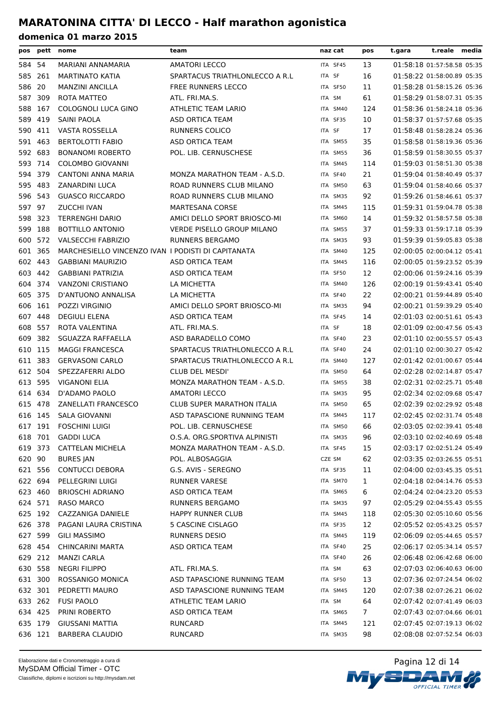| pos     |         | pett nome                                          | team                              | naz cat  | pos            | t.gara | t.reale media              |  |
|---------|---------|----------------------------------------------------|-----------------------------------|----------|----------------|--------|----------------------------|--|
| 584 54  |         | MARIANI ANNAMARIA                                  | <b>AMATORI LECCO</b>              | ITA SF45 | 13             |        | 01:58:18 01:57:58.58 05:35 |  |
|         | 585 261 | MARTINATO KATIA                                    | SPARTACUS TRIATHLONLECCO A R.L    | ITA SF   | 16             |        | 01:58:22 01:58:00.89 05:35 |  |
| 586     | 20      | <b>MANZINI ANCILLA</b>                             | <b>FREE RUNNERS LECCO</b>         | ITA SF50 | 11             |        | 01:58:28 01:58:15.26 05:36 |  |
| 587     | 309     | ROTA MATTEO                                        | ATL. FRI.MA.S.                    | ITA SM   | 61             |        | 01:58:29 01:58:07.31 05:35 |  |
|         | 588 167 | COLOGNOLI LUCA GINO                                | ATHLETIC TEAM LARIO               | ITA SM40 | 124            |        | 01:58:36 01:58:24.18 05:36 |  |
| 589     | 419     | SAINI PAOLA                                        | ASD ORTICA TEAM                   | ITA SF35 | 10             |        | 01:58:37 01:57:57.68 05:35 |  |
| 590     | 411     | <b>VASTA ROSSELLA</b>                              | <b>RUNNERS COLICO</b>             | ITA SF   | 17             |        | 01:58:48 01:58:28.24 05:36 |  |
|         | 591 463 | <b>BERTOLOTTI FABIO</b>                            | ASD ORTICA TEAM                   | ITA SM55 | 35             |        | 01:58:58 01:58:19.36 05:36 |  |
|         | 592 683 | <b>BONANOMI ROBERTO</b>                            | POL. LIB. CERNUSCHESE             | ITA SM55 | 36             |        | 01:58:59 01:58:30.55 05:37 |  |
|         | 593 714 | <b>COLOMBO GIOVANNI</b>                            |                                   | ITA SM45 | 114            |        | 01:59:03 01:58:51.30 05:38 |  |
|         | 594 379 | <b>CANTONI ANNA MARIA</b>                          | MONZA MARATHON TEAM - A.S.D.      | ITA SF40 | 21             |        | 01:59:04 01:58:40.49 05:37 |  |
|         | 595 483 | ZANARDINI LUCA                                     | ROAD RUNNERS CLUB MILANO          | ITA SM50 | 63             |        | 01:59:04 01:58:40.66 05:37 |  |
|         | 596 543 | <b>GUASCO RICCARDO</b>                             | ROAD RUNNERS CLUB MILANO          | ITA SM35 | 92             |        | 01:59:26 01:58:46.61 05:37 |  |
| 597 97  |         | <b>ZUCCHI IVAN</b>                                 | <b>MARTESANA CORSE</b>            | ITA SM45 | 115            |        | 01:59:31 01:59:04.78 05:38 |  |
| 598     | -323    | <b>TERRENGHI DARIO</b>                             | AMICI DELLO SPORT BRIOSCO-MI      | ITA SM60 | 14             |        | 01:59:32 01:58:57.58 05:38 |  |
|         | 599 188 | <b>BOTTILLO ANTONIO</b>                            | <b>VERDE PISELLO GROUP MILANO</b> | ITA SM55 | 37             |        | 01:59:33 01:59:17.18 05:39 |  |
|         | 600 572 | <b>VALSECCHI FABRIZIO</b>                          | <b>RUNNERS BERGAMO</b>            | ITA SM35 | 93             |        | 01:59:39 01:59:05.83 05:38 |  |
|         | 601 365 | MARCHESIELLO VINCENZO IVAN I PODISTI DI CAPITANATA |                                   | ITA SM40 | 125            |        | 02:00:05 02:00:04.12 05:41 |  |
| 602     | 443     | <b>GABBIANI MAURIZIO</b>                           | ASD ORTICA TEAM                   | ITA SM45 | 116            |        | 02:00:05 01:59:23.52 05:39 |  |
|         | 603 442 | <b>GABBIANI PATRIZIA</b>                           | ASD ORTICA TEAM                   | ITA SF50 | 12             |        | 02:00:06 01:59:24.16 05:39 |  |
|         | 604 374 | <b>VANZONI CRISTIANO</b>                           | LA MICHETTA                       | ITA SM40 | 126            |        | 02:00:19 01:59:43.41 05:40 |  |
| 605 375 |         | D'ANTUONO ANNALISA                                 | LA MICHETTA                       | ITA SF40 | 22             |        | 02:00:21 01:59:44.89 05:40 |  |
|         | 606 161 | POZZI VIRGINIO                                     | AMICI DELLO SPORT BRIOSCO-MI      | ITA SM35 | 94             |        | 02:00:21 01:59:39.29 05:40 |  |
|         | 607 448 | <b>DEGIULI ELENA</b>                               | ASD ORTICA TEAM                   | ITA SF45 | 14             |        | 02:01:03 02:00:51.61 05:43 |  |
| 608     | 557     | ROTA VALENTINA                                     | ATL. FRI.MA.S.                    | ITA SF   | 18             |        | 02:01:09 02:00:47.56 05:43 |  |
| 609     | 382     | SGUAZZA RAFFAELLA                                  | ASD BARADELLO COMO                | ITA SF40 | 23             |        | 02:01:10 02:00:55.57 05:43 |  |
| 610 115 |         | <b>MAGGI FRANCESCA</b>                             | SPARTACUS TRIATHLONLECCO A R.L.   | ITA SF40 | 24             |        | 02:01:10 02:00:30.27 05:42 |  |
| 611 383 |         | <b>GERVASONI CARLO</b>                             | SPARTACUS TRIATHLONLECCO A R.L.   | ITA SM40 | 127            |        | 02:01:42 02:01:00.67 05:44 |  |
| 612 504 |         | SPEZZAFERRI ALDO                                   | <b>CLUB DEL MESDI'</b>            | ITA SM50 | 64             |        | 02:02:28 02:02:14.87 05:47 |  |
| 613 595 |         | <b>VIGANONI ELIA</b>                               | MONZA MARATHON TEAM - A.S.D.      | ITA SM55 | 38             |        | 02:02:31 02:02:25.71 05:48 |  |
|         | 614 634 | D'ADAMO PAOLO                                      | <b>AMATORI LECCO</b>              | ITA SM35 | 95             |        | 02:02:34 02:02:09.68 05:47 |  |
| 615 478 |         | <b>ZANELLATI FRANCESCO</b>                         | <b>CLUB SUPER MARATHON ITALIA</b> | ITA SM50 | 65             |        | 02:02:39 02:02:29.92 05:48 |  |
|         | 616 145 | <b>SALA GIOVANNI</b>                               | ASD TAPASCIONE RUNNING TEAM       | ITA SM45 | 117            |        | 02:02:45 02:02:31.74 05:48 |  |
| 617     | 191     | <b>FOSCHINI LUIGI</b>                              | POL. LIB. CERNUSCHESE             |          | 66             |        | 02:03:05 02:02:39.41 05:48 |  |
|         | 618 701 |                                                    | O.S.A. ORG.SPORTIVA ALPINISTI     | ITA SM50 |                |        |                            |  |
|         |         | <b>GADDI LUCA</b>                                  |                                   | ITA SM35 | 96             |        | 02:03:10 02:02:40.69 05:48 |  |
|         | 619 373 | CATTELAN MICHELA                                   | MONZA MARATHON TEAM - A.S.D.      | ITA SF45 | 15             |        | 02:03:17 02:02:51.24 05:49 |  |
| 620 90  |         | <b>BURES JAN</b>                                   | POL. ALBOSAGGIA                   | CZE SM   | 62             |        | 02:03:35 02:03:26.55 05:51 |  |
|         | 621 556 | <b>CONTUCCI DEBORA</b>                             | G.S. AVIS - SEREGNO               | ITA SF35 | 11             |        | 02:04:00 02:03:45.35 05:51 |  |
|         | 622 694 | PELLEGRINI LUIGI                                   | <b>RUNNER VARESE</b>              | ITA SM70 | 1              |        | 02:04:18 02:04:14.76 05:53 |  |
|         | 623 460 | <b>BRIOSCHI ADRIANO</b>                            | ASD ORTICA TEAM                   | ITA SM65 | 6              |        | 02:04:24 02:04:23.20 05:53 |  |
|         | 624 571 | <b>RASO MARCO</b>                                  | RUNNERS BERGAMO                   | ITA SM35 | 97             |        | 02:05:29 02:04:55.43 05:55 |  |
|         | 625 192 | CAZZANIGA DANIELE                                  | <b>HAPPY RUNNER CLUB</b>          | ITA SM45 | 118            |        | 02:05:30 02:05:10.60 05:56 |  |
|         | 626 378 | PAGANI LAURA CRISTINA                              | 5 CASCINE CISLAGO                 | ITA SF35 | 12             |        | 02:05:52 02:05:43.25 05:57 |  |
|         | 627 599 | <b>GILI MASSIMO</b>                                | RUNNERS DESIO                     | ITA SM45 | 119            |        | 02:06:09 02:05:44.65 05:57 |  |
|         | 628 454 | CHINCARINI MARTA                                   | ASD ORTICA TEAM                   | ITA SF40 | 25             |        | 02:06:17 02:05:34.14 05:57 |  |
|         | 629 212 | <b>MANZI CARLA</b>                                 |                                   | ITA SF40 | 26             |        | 02:06:48 02:06:42.68 06:00 |  |
|         | 630 558 | <b>NEGRI FILIPPO</b>                               | ATL. FRI.MA.S.                    | ITA SM   | 63             |        | 02:07:03 02:06:40.63 06:00 |  |
|         | 631 300 | ROSSANIGO MONICA                                   | ASD TAPASCIONE RUNNING TEAM       | ITA SF50 | 13             |        | 02:07:36 02:07:24.54 06:02 |  |
|         | 632 301 | PEDRETTI MAURO                                     | ASD TAPASCIONE RUNNING TEAM       | ITA SM45 | 120            |        | 02:07:38 02:07:26.21 06:02 |  |
|         | 633 262 | <b>FUSI PAOLO</b>                                  | ATHLETIC TEAM LARIO               | ITA SM   | 64             |        | 02:07:42 02:07:41.49 06:03 |  |
|         | 634 425 | PRINI ROBERTO                                      | ASD ORTICA TEAM                   | ITA SM65 | 7 <sup>7</sup> |        | 02:07:43 02:07:04.66 06:01 |  |
|         | 635 179 | <b>GIUSSANI MATTIA</b>                             | RUNCARD                           | ITA SM45 | 121            |        | 02:07:45 02:07:19.13 06:02 |  |
|         | 636 121 | <b>BARBERA CLAUDIO</b>                             | <b>RUNCARD</b>                    | ITA SM35 | 98             |        | 02:08:08 02:07:52.54 06:03 |  |

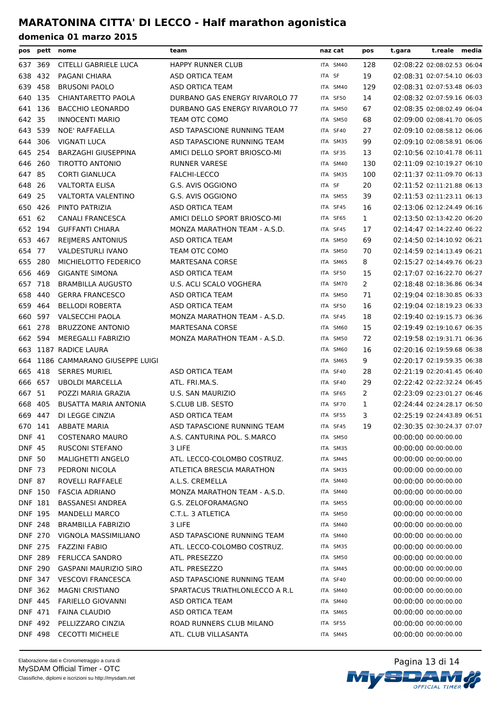| pos            |         | pett nome                     | team                           | naz cat  | pos            | t.gara | t.reale media              |  |
|----------------|---------|-------------------------------|--------------------------------|----------|----------------|--------|----------------------------|--|
| 637 369        |         | CITELLI GABRIELE LUCA         | <b>HAPPY RUNNER CLUB</b>       | ITA SM40 | 128            |        | 02:08:22 02:08:02.53 06:04 |  |
| 638            | 432     | PAGANI CHIARA                 | ASD ORTICA TEAM                | ITA SF   | 19             |        | 02:08:31 02:07:54.10 06:03 |  |
| 639 458        |         | <b>BRUSONI PAOLO</b>          | ASD ORTICA TEAM                | ITA SM40 | 129            |        | 02:08:31 02:07:53.48 06:03 |  |
| 640 135        |         | <b>CHIANTARETTO PAOLA</b>     | DURBANO GAS ENERGY RIVAROLO 77 | ITA SF50 | 14             |        | 02:08:32 02:07:59.16 06:03 |  |
| 641 136        |         | <b>BACCHIO LEONARDO</b>       | DURBANO GAS ENERGY RIVAROLO 77 | ITA SM50 | 67             |        | 02:08:35 02:08:02.49 06:04 |  |
| 642 35         |         | <b>INNOCENTI MARIO</b>        | TEAM OTC COMO                  | ITA SM50 | 68             |        | 02:09:00 02:08:41.70 06:05 |  |
| 643 539        |         | NOE' RAFFAELLA                | ASD TAPASCIONE RUNNING TEAM    | ITA SF40 | 27             |        | 02:09:10 02:08:58.12 06:06 |  |
| 644 306        |         | <b>VIGNATI LUCA</b>           | ASD TAPASCIONE RUNNING TEAM    | ITA SM35 | 99             |        | 02:09:10 02:08:58.91 06:06 |  |
| 645 254        |         | <b>BARZAGHI GIUSEPPINA</b>    | AMICI DELLO SPORT BRIOSCO-MI   | ITA SF35 | 13             |        | 02:10:56 02:10:41.78 06:11 |  |
| 646 260        |         | TIROTTO ANTONIO               | <b>RUNNER VARESE</b>           | ITA SM40 | 130            |        | 02:11:09 02:10:19.27 06:10 |  |
| 647 85         |         | <b>CORTI GIANLUCA</b>         | FALCHI-LECCO                   | ITA SM35 | 100            |        | 02:11:37 02:11:09.70 06:13 |  |
| 648 26         |         | <b>VALTORTA ELISA</b>         | G.S. AVIS OGGIONO              | ITA SF   | 20             |        | 02:11:52 02:11:21.88 06:13 |  |
| 649            | 25      | VALTORTA VALENTINO            | G.S. AVIS OGGIONO              | ITA SM55 | 39             |        | 02:11:53 02:11:23.11 06:13 |  |
| 650            | 426     | PINTO PATRIZIA                | ASD ORTICA TEAM                | ITA SF45 | 16             |        | 02:13:06 02:12:24.49 06:16 |  |
| 651 62         |         | <b>CANALI FRANCESCA</b>       | AMICI DELLO SPORT BRIOSCO-MI   | ITA SF65 | $\mathbf{1}$   |        | 02:13:50 02:13:42.20 06:20 |  |
| 652 194        |         | <b>GUFFANTI CHIARA</b>        | MONZA MARATHON TEAM - A.S.D.   | ITA SF45 | 17             |        | 02:14:47 02:14:22.40 06:22 |  |
| 653 467        |         | <b>REIJMERS ANTONIUS</b>      | ASD ORTICA TEAM                | ITA SM50 | 69             |        | 02:14:50 02:14:10.92 06:21 |  |
| 654 77         |         | <b>VALDESTURLI IVANO</b>      | TEAM OTC COMO                  | ITA SM50 | 70             |        | 02:14:59 02:14:13.49 06:21 |  |
| 655 280        |         | MICHIELOTTO FEDERICO          | <b>MARTESANA CORSE</b>         | ITA SM65 | 8              |        | 02:15:27 02:14:49.76 06:23 |  |
| 656 469        |         | <b>GIGANTE SIMONA</b>         | ASD ORTICA TEAM                | ITA SF50 | 15             |        | 02:17:07 02:16:22.70 06:27 |  |
| 657 718        |         | <b>BRAMBILLA AUGUSTO</b>      | U.S. ACLI SCALO VOGHERA        | ITA SM70 | $\overline{2}$ |        | 02:18:48 02:18:36.86 06:34 |  |
| 658 440        |         | <b>GERRA FRANCESCO</b>        | ASD ORTICA TEAM                | ITA SM50 | 71             |        | 02:19:04 02:18:30.85 06:33 |  |
| 659 464        |         | <b>BELLODI ROBERTA</b>        | ASD ORTICA TEAM                | ITA SF50 | 16             |        | 02:19:04 02:18:19.23 06:33 |  |
| 660 597        |         | <b>VALSECCHI PAOLA</b>        | MONZA MARATHON TEAM - A.S.D.   | ITA SF45 | 18             |        | 02:19:40 02:19:15.73 06:36 |  |
| 661 278        |         | <b>BRUZZONE ANTONIO</b>       | <b>MARTESANA CORSE</b>         | ITA SM60 | 15             |        | 02:19:49 02:19:10.67 06:35 |  |
| 662 594        |         | MEREGALLI FABRIZIO            | MONZA MARATHON TEAM - A.S.D.   | ITA SM50 | 72             |        | 02:19:58 02:19:31.71 06:36 |  |
|                |         | 663 1187 RADICE LAURA         |                                | ITA SM60 | 16             |        | 02:20:16 02:19:59.68 06:38 |  |
| 664            |         | 1186 CAMMARANO GIUSEPPE LUIGI |                                | ITA SM65 | 9              |        | 02:20:17 02:19:59.35 06:38 |  |
| 665 418        |         | <b>SERRES MURIEL</b>          | ASD ORTICA TEAM                | ITA SF40 | 28             |        | 02:21:19 02:20:41.45 06:40 |  |
| 666 657        |         | <b>UBOLDI MARCELLA</b>        | ATL. FRI.MA.S.                 | ITA SF40 | 29             |        | 02:22:42 02:22:32.24 06:45 |  |
| 667 51         |         | POZZI MARIA GRAZIA            | <b>U.S. SAN MAURIZIO</b>       | ITA SF65 | 2              |        | 02:23:09 02:23:01.27 06:46 |  |
| 668 405        |         | BUSATTA MARIA ANTONIA         | S.CLUB LIB. SESTO              | ITA SF70 | 1              |        | 02:24:44 02:24:28.17 06:50 |  |
| 669 447        |         | DI LEGGE CINZIA               | ASD ORTICA TEAM                | ITA SF55 | 3              |        | 02:25:19 02:24:43.89 06:51 |  |
| 670 141        |         | <b>ABBATE MARIA</b>           | ASD TAPASCIONE RUNNING TEAM    | ITA SF45 | 19             |        | 02:30:35 02:30:24.37 07:07 |  |
| DNF 41         |         | <b>COSTENARO MAURO</b>        | A.S. CANTURINA POL. S.MARCO    | ITA SM50 |                |        | 00:00:00 00:00:00.00       |  |
| <b>DNF 45</b>  |         | <b>RUSCONI STEFANO</b>        | 3 LIFE                         | ITA SM35 |                |        | 00:00:00 00:00:00.00       |  |
| <b>DNF 50</b>  |         | MALIGHETTI ANGELO             | ATL. LECCO-COLOMBO COSTRUZ.    | ITA SM45 |                |        | 00:00:00 00:00:00.00       |  |
| <b>DNF 73</b>  |         | PEDRONI NICOLA                | ATLETICA BRESCIA MARATHON      | ITA SM35 |                |        | 00:00:00 00:00:00.00       |  |
| <b>DNF 87</b>  |         | ROVELLI RAFFAELE              | A.L.S. CREMELLA                | ITA SM40 |                |        | 00:00:00 00:00:00.00       |  |
| <b>DNF 150</b> |         | <b>FASCIA ADRIANO</b>         | MONZA MARATHON TEAM - A.S.D.   | ITA SM40 |                |        | 00:00:00 00:00:00.00       |  |
| DNF 181        |         | <b>BASSANESI ANDREA</b>       | G.S. ZELOFORAMAGNO             | ITA SM55 |                |        | 00:00:00 00:00:00.00       |  |
| DNF 195        |         | <b>MANDELLI MARCO</b>         | C.T.L. 3 ATLETICA              | ITA SM50 |                |        | 00:00:00 00:00:00.00       |  |
| <b>DNF 248</b> |         | <b>BRAMBILLA FABRIZIO</b>     | 3 LIFE                         | ITA SM40 |                |        | 00:00:00 00:00:00.00       |  |
| <b>DNF 270</b> |         | VIGNOLA MASSIMILIANO          | ASD TAPASCIONE RUNNING TEAM    | ITA SM40 |                |        | 00:00:00 00:00:00.00       |  |
| <b>DNF 275</b> |         | <b>FAZZINI FABIO</b>          | ATL. LECCO-COLOMBO COSTRUZ.    | ITA SM35 |                |        | 00:00:00 00:00:00.00       |  |
| <b>DNF 289</b> |         | <b>FERLICCA SANDRO</b>        | ATL. PRESEZZO                  | ITA SM50 |                |        | 00:00:00 00:00:00.00       |  |
| <b>DNF 290</b> |         | GASPANI MAURIZIO SIRO         | ATL. PRESEZZO                  | ITA SM45 |                |        | 00:00:00 00:00:00.00       |  |
| DNF 347        |         | <b>VESCOVI FRANCESCA</b>      | ASD TAPASCIONE RUNNING TEAM    | ITA SF40 |                |        | 00:00:00 00:00:00.00       |  |
| DNF 362        |         | <b>MAGNI CRISTIANO</b>        | SPARTACUS TRIATHLONLECCO A R.L | ITA SM40 |                |        | 00:00:00 00:00:00.00       |  |
| DNF 445        |         | <b>FARIELLO GIOVANNI</b>      | ASD ORTICA TEAM                | ITA SM40 |                |        | 00:00:00 00:00:00.00       |  |
| DNF 471        |         | <b>FAINA CLAUDIO</b>          | ASD ORTICA TEAM                | ITA SM65 |                |        | 00:00:00 00:00:00.00       |  |
| DNF 492        |         | PELLIZZARO CINZIA             | ROAD RUNNERS CLUB MILANO       | ITA SF55 |                |        | 00:00:00 00:00:00.00       |  |
|                | DNF 498 | <b>CECOTTI MICHELE</b>        | ATL. CLUB VILLASANTA           | ITA SM45 |                |        | 00:00:00 00:00:00.00       |  |